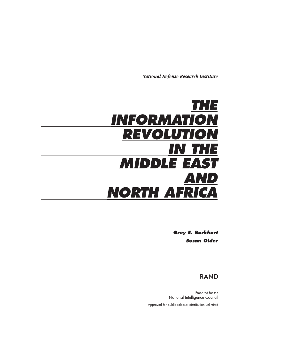*National Defense Research Institute*

# *THE INFORMATION REVOLUTION IN THE MIDDLE EAST AND NORTH AFRICA*

*Grey E. Burkhart Susan Older*

# **RAND**

Prepared for the National Intelligence Council

Approved for public release; distribution unlimited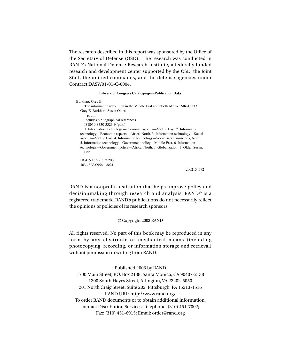The research described in this report was sponsored by the Office of the Secretary of Defense (OSD). The research was conducted in RAND's National Defense Research Institute, a federally funded research and development center supported by the OSD, the Joint Staff, the unified commands, and the defense agencies under Contract DASW01-01-C-0004.

#### **Library of Congress Cataloging-in-Publication Data**

```
Burkhart, Grey E.
     The information revolution in the Middle East and North Africa : MR-1653 / 
  Grey E. Burkhart, Susan Older.
      p. cm.
     Includes bibliographical references.
     ISBN 0-8330-3323-9 (pbk.)
     1. Information technology—Economic aspects—Middle East. 2. Information 
  technology—Economic aspects—Africa, North. 3. Information technology—Social 
  aspects—Middle East. 4. Information technology—Social aspects—Africa, North. 
  5. Information technology—Government policy—Middle East. 6. Information 
  technology—Government policy—Africa, North. 7. Globalization. I. Older, Susan. 
  II.Title.
```

```
HC415.15.Z9I552 2003
303.48'33'0956—dc21
```
2002154572

RAND is a nonprofit institution that helps improve policy and decisionmaking through research and analysis. RAND® is a registered trademark. RAND's publications do not necessarily reflect the opinions or policies of its research sponsors.

#### © Copyright 2003 RAND

All rights reserved. No part of this book may be reproduced in any form by any electronic or mechanical means (including photocopying, recording, or information storage and retrieval) without permission in writing from RAND.

Published 2003 by RAND 1700 Main Street, P.O. Box 2138, Santa Monica, CA 90407-2138 1200 South Hayes Street, Arlington, VA 22202-5050 201 North Craig Street, Suite 202, Pittsburgh, PA 15213-1516 RAND URL: http://www.rand.org/ To order RAND documents or to obtain additional information, contact Distribution Services: Telephone: (310) 451-7002; Fax: (310) 451-6915; Email: order@rand.org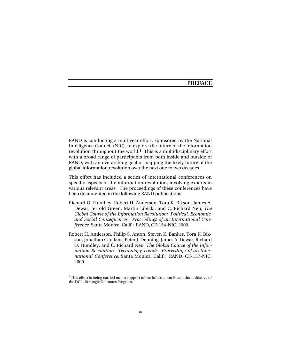# **PREFACE**

RAND is conducting a multiyear effort, sponsored by the National Intelligence Council (NIC), to explore the future of the information revolution throughout the world.<sup>1</sup> This is a multidisciplinary effort with a broad range of participants from both inside and outside of RAND, with an overarching goal of mapping the likely future of the global information revolution over the next one to two decades.

This effort has included a series of international conferences on specific aspects of the information revolution, involving experts in various relevant areas. The proceedings of these conferences have been documented in the following RAND publications:

- Richard O. Hundley, Robert H. Anderson, Tora K. Bikson, James A. Dewar, Jerrold Green, Martin Libicki, and C. Richard Neu, *The Global Course of the Information Revolution: Political, Economic, and Social Consequences: Proceedings of an International Conference,* Santa Monica, Calif.: RAND, CF-154-NIC, 2000.
- Robert H. Anderson, Philip S. Anton, Steven K. Bankes, Tora K. Bikson, Jonathan Caulkins, Peter J. Denning, James A. Dewar, Richard O. Hundley, and C. Richard Neu, *The Global Course of the Information Revolution: Technology Trends: Proceedings of an International Conference,* Santa Monica, Calif.: RAND, CF-157-NIC, 2000.

\_\_\_\_\_\_\_\_\_\_\_\_\_\_

 $1$ This effort is being carried out in support of the Information Revolution initiative of the DCI's Strategic Estimates Program.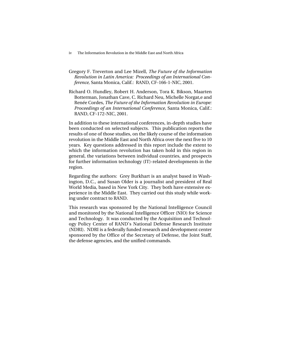- Gregory F. Treverton and Lee Mizell, *The Future of the Information Revolution in Latin America: Proceedings of an International Conference,* Santa Monica, Calif.: RAND, CF-166-1-NIC, 2001.
- Richard O. Hundley, Robert H. Anderson, Tora K. Bikson, Maarten Botterman, Jonathan Cave, C. Richard Neu, Michelle Norgat,e and Renée Cordes, *The Future of the Information Revolution in Europe: Proceedings of an International Conference,* Santa Monica, Calif.: RAND, CF-172-NIC, 2001.

In addition to these international conferences, in-depth studies have been conducted on selected subjects. This publication reports the results of one of those studies, on the likely course of the information revolution in the Middle East and North Africa over the next five to 10 years. Key questions addressed in this report include the extent to which the information revolution has taken hold in this region in general, the variations between individual countries, and prospects for further information technology (IT)-related developments in the region.

Regarding the authors: Grey Burkhart is an analyst based in Washington, D.C., and Susan Older is a journalist and president of Real World Media, based in New York City. They both have extensive experience in the Middle East. They carried out this study while working under contract to RAND.

This research was sponsored by the National Intelligence Council and monitored by the National Intelligence Officer (NIO) for Science and Technology. It was conducted by the Acquisition and Technology Policy Center of RAND's National Defense Research Institute (NDRI). NDRI is a federally funded research and development center sponsored by the Office of the Secretary of Defense, the Joint Staff, the defense agencies, and the unified commands.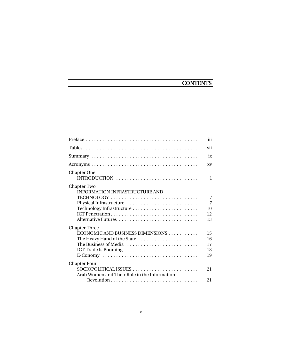# **CONTENTS**

|                                                      | iii            |
|------------------------------------------------------|----------------|
|                                                      | vii            |
|                                                      | ix             |
|                                                      | <b>XV</b>      |
| <b>Chapter One</b><br>INTRODUCTION                   | 1              |
| Chapter Two<br><b>INFORMATION INFRASTRUCTURE AND</b> |                |
| TECHNOLOGY                                           | $\overline{7}$ |
| Physical Infrastructure                              | $\overline{7}$ |
|                                                      | 10             |
|                                                      | 12             |
| Alternative Futures                                  | 13             |
| <b>Chapter Three</b>                                 |                |
| ECONOMIC AND BUSINESS DIMENSIONS                     | 15             |
| The Heavy Hand of the State                          | 16             |
| The Business of Media                                | 17             |
| ICT Trade Is Booming                                 | 18             |
|                                                      | 19             |
| <b>Chapter Four</b>                                  |                |
| Arab Women and Their Role in the Information         | 21             |
|                                                      | 21             |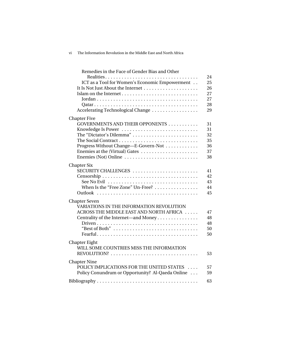| Remedies in the Face of Gender Bias and Other                    |    |
|------------------------------------------------------------------|----|
|                                                                  | 24 |
| ICT as a Tool for Women's Economic Empowerment                   | 25 |
|                                                                  | 26 |
|                                                                  | 27 |
|                                                                  | 27 |
|                                                                  | 28 |
| Accelerating Technological Change                                | 29 |
| <b>Chapter Five</b>                                              |    |
| GOVERNMENTS AND THEIR OPPONENTS                                  | 31 |
| Knowledge Is Power                                               | 31 |
| The "Dictator's Dilemma"                                         | 32 |
|                                                                  | 35 |
| Progress Without Change-E-Govern-Not                             | 36 |
| Enemies at the (Virtual) Gates                                   | 37 |
| Enemies (Not) Online                                             | 38 |
|                                                                  |    |
| <b>Chapter Six</b>                                               |    |
| SECURITY CHALLENGES                                              | 41 |
|                                                                  | 42 |
| See No Evil                                                      | 43 |
| When Is the "Free Zone" Un-Free?                                 | 44 |
|                                                                  | 45 |
| <b>Chapter Seven</b>                                             |    |
| VARIATIONS IN THE INFORMATION REVOLUTION                         |    |
| ACROSS THE MIDDLE EAST AND NORTH AFRICA                          | 47 |
| Centrality of the Internet—and Money                             | 48 |
|                                                                  | 48 |
| "Best of Both"                                                   | 50 |
|                                                                  | 50 |
|                                                                  |    |
| <b>Chapter Eight</b><br>WILL SOME COUNTRIES MISS THE INFORMATION |    |
|                                                                  |    |
|                                                                  | 53 |
| <b>Chapter Nine</b>                                              |    |
| POLICY IMPLICATIONS FOR THE UNITED STATES                        | 57 |
| Policy Conundrum or Opportunity? Al-Qaeda Online                 | 59 |
|                                                                  | 63 |
|                                                                  |    |

vi The Information Revolution in the Middle East and North Africa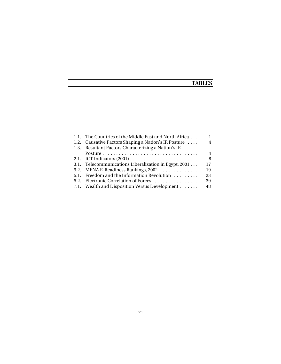# **TABLES**

| 1.1. The Countries of the Middle East and North Africa |    |
|--------------------------------------------------------|----|
| 1.2. Causative Factors Shaping a Nation's IR Posture   | 4  |
| 1.3. Resultant Factors Characterizing a Nation's IR    |    |
|                                                        | 4  |
|                                                        | -8 |
| 3.1. Telecommunications Liberalization in Egypt, 2001  | 17 |
| 3.2. MENA E-Readiness Rankings, 2002                   | 19 |
| 5.1. Freedom and the Information Revolution            | 33 |
| 5.2. Electronic Correlation of Forces                  | 39 |
| 7.1. Wealth and Disposition Versus Development         | 48 |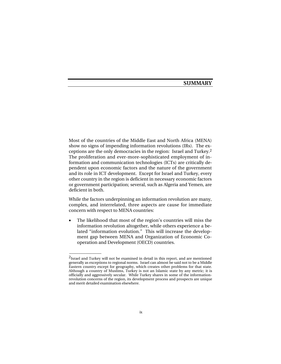### **SUMMARY**

Most of the countries of the Middle East and North Africa (MENA) show no signs of impending information revolutions (IRs). The exceptions are the only democracies in the region: Israel and Turkey.<sup>2</sup> The proliferation and ever-more-sophisticated employment of information and communication technologies (ICTs) are critically dependent upon economic factors and the nature of the government and its role in ICT development. Except for Israel and Turkey, every other country in the region is deficient in necessary economic factors or government participation; several, such as Algeria and Yemen, are deficient in both.

While the factors underpinning an information revolution are many, complex, and interrelated, three aspects are cause for immediate concern with respect to MENA countries:

• The likelihood that most of the region's countries will miss the information revolution altogether, while others experience a belated "information evolution." This will increase the development gap between MENA and Organization of Economic Cooperation and Development (OECD) countries.

\_\_\_\_\_\_\_\_\_\_\_\_\_\_

 $^2$ Israel and Turkey will not be examined in detail in this report, and are mentioned generally as exceptions to regional norms. Israel can almost be said not to be a Middle Eastern country except for geography, which creates other problems for that state. Although a country of Muslims, Turkey is not an Islamic state by any metric; it is officially and aggressively secular. While Turkey shares in some of the informationrevolution concerns of the region, its development process and prospects are unique and merit detailed examination elsewhere.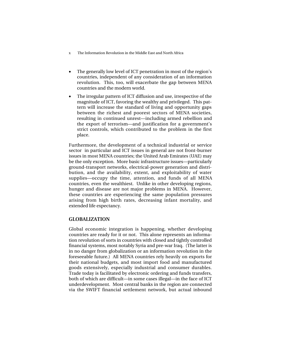- x The Information Revolution in the Middle East and North Africa
- The generally low level of ICT penetration in most of the region's countries, independent of any consideration of an information revolution. This, too, will exacerbate the gap between MENA countries and the modern world.
- The irregular pattern of ICT diffusion and use, irrespective of the magnitude of ICT, favoring the wealthy and privileged. This pattern will increase the standard of living and opportunity gaps between the richest and poorest sectors of MENA societies, resulting in continued unrest—including armed rebellion and the export of terrorism—and justification for a government's strict controls, which contributed to the problem in the first place.

Furthermore, the development of a technical industrial or service sector in particular and ICT issues in general are not front-burner issues in most MENA countries; the United Arab Emirates (UAE) may be the only exception. More basic infrastructure issues—particularly ground-transport networks, electrical-power generation and distribution, and the availability, extent, and exploitability of water supplies—occupy the time, attention, and funds of all MENA countries, even the wealthiest. Unlike in other developing regions, hunger and disease are not major problems in MENA. However, these countries are experiencing the same population pressures arising from high birth rates, decreasing infant mortality, and extended life expectancy.

# **GLOBALIZATION**

Global economic integration is happening, whether developing countries are ready for it or not. This alone represents an information revolution of sorts in countries with closed and tightly controlled financial systems, most notably Syria and pre-war Iraq. (The latter is in no danger from globalization or an information revolution in the foreseeable future.) All MENA countries rely heavily on exports for their national budgets, and most import food and manufactured goods extensively, especially industrial and consumer durables. Trade today is facilitated by electronic ordering and funds transfers, both of which are difficult—in some cases illegal—in the face of ICT underdevelopment. Most central banks in the region are connected via the SWIFT financial settlement network, but actual inbound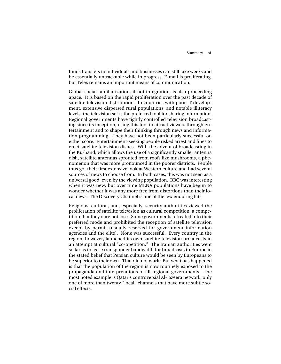Summary xi

funds transfers to individuals and businesses can still take weeks and be essentially untrackable while in progress. E-mail is proliferating, but Telex remains an important means of communication.

Global social familiarization, if not integration, is also proceeding apace. It is based on the rapid proliferation over the past decade of satellite television distribution. In countries with poor IT development, extensive dispersed rural populations, and notable illiteracy levels, the television set is the preferred tool for sharing information. Regional governments have tightly controlled television broadcasting since its inception, using this tool to attract viewers through entertainment and to shape their thinking through news and information programming. They have not been particularly successful on either score. Entertainment-seeking people risked arrest and fines to erect satellite television dishes. With the advent of broadcasting in the Ku-band, which allows the use of a significantly smaller antenna dish, satellite antennas sprouted from roofs like mushrooms, a phenomenon that was more pronounced in the poorer districts. People thus got their first extensive look at Western culture and had several sources of news to choose from. In both cases, this was not seen as a universal good, even by the viewing population. BBC was interesting when it was new, but over time MENA populations have begun to wonder whether it was any more free from distortions than their local news. The Discovery Channel is one of the few enduring hits.

Religious, cultural, and, especially, security authorities viewed the proliferation of satellite television as cultural competition, a competition that they dare not lose. Some governments retreated into their preferred mode and prohibited the reception of satellite television except by permit (usually reserved for government information agencies and the elite). None was successful. Every country in the region, however, launched its own satellite television broadcasts in an attempt at cultural "co-opetition." The Iranian authorities went so far as to lease transponder bandwidth for broadcasts to Europe in the stated belief that Persian culture would be seen by Europeans to be superior to their own. That did not work. But what has happened is that the population of the region is now routinely exposed to the propaganda and interpretations of all regional governments. The most noted example is Qatar's controversial Al-Jazeera network, only one of more than twenty "local" channels that have more subtle social effects.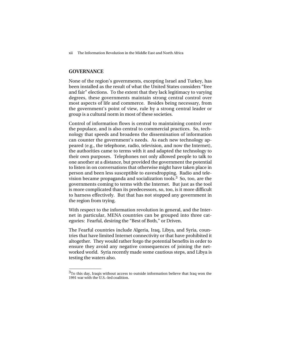#### **GOVERNANCE**

\_\_\_\_\_\_\_\_\_\_\_\_\_\_

None of the region's governments, excepting Israel and Turkey, has been installed as the result of what the United States considers "free and fair" elections. To the extent that they lack legitimacy to varying degrees, these governments maintain strong central control over most aspects of life and commerce. Besides being necessary, from the government's point of view, rule by a strong central leader or group is a cultural norm in most of these societies.

Control of information flows is central to maintaining control over the populace, and is also central to commercial practices. So, technology that speeds and broadens the dissemination of information can counter the government's needs. As each new technology appeared (e.g., the telephone, radio, television, and now the Internet), the authorities came to terms with it and adapted the technology to their own purposes. Telephones not only allowed people to talk to one another at a distance, but provided the government the potential to listen in on conversations that otherwise might have taken place in person and been less susceptible to eavesdropping. Radio and television became propaganda and socialization tools.<sup>3</sup> So, too, are the governments coming to terms with the Internet. But just as the tool is more complicated than its predecessors, so, too, is it more difficult to harness effectively. But that has not stopped any government in the region from trying.

With respect to the information revolution in general, and the Internet in particular, MENA countries can be grouped into three categories: Fearful, desiring the "Best of Both," or Driven.

The Fearful countries include Algeria, Iraq, Libya, and Syria, countries that have limited Internet connectivity or that have prohibited it altogether. They would rather forgo the potential benefits in order to ensure they avoid any negative consequences of joining the networked world. Syria recently made some cautious steps, and Libya is testing the waters also.

 $3$ To this day, Iraqis without access to outside information believe that Iraq won the 1991 war with the U.S.–led coalition.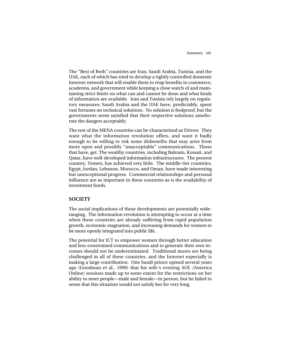The "Best of Both" countries are Iran, Saudi Arabia, Tunisia, and the UAE, each of which has tried to develop a tightly controlled domestic Internet network that will enable them to reap benefits in commerce, academia, and government while keeping a close watch of and maintaining strict limits on what can and cannot be done and what kinds of information are available. Iran and Tunisia rely largely on regulatory measures; Saudi Arabia and the UAE have, predictably, spent vast fortunes on technical solutions. No solution is foolproof, but the governments seem satisfied that their respective solutions ameliorate the dangers acceptably.

The rest of the MENA countries can be characterized as Driven: They want what the information revolution offers, and want it badly enough to be willing to risk some disbenefits that may arise from more open and possibly "unacceptable" communications. Those that have, get. The wealthy countries, including Bahrain, Kuwait, and Qatar, have well-developed information infrastructures. The poorest country, Yemen, has achieved very little. The middle-tier countries, Egypt, Jordan, Lebanon, Morocco, and Oman, have made interesting but unexceptional progress. Commercial relationships and personal influence are as important in these countries as is the availability of investment funds.

#### **SOCIETY**

The social implications of these developments are potentially wideranging. The information revolution is attempting to occur at a time when these countries are already suffering from rapid population growth, economic stagnation, and increasing demands for women to be more openly integrated into public life.

The potential for ICT to empower women through better education and less-constrained communications and to generate their own incomes should not be underestimated. Traditional mores are being challenged in all of these countries, and the Internet especially is making a large contribution. One Saudi prince opined several years ago (Goodman et al., 1998) that his wife's evening AOL (America Online) sessions made up to some extent for the restrictions on her ability to meet people—male and female—in person, but he failed to sense that this situation would not satisfy her for very long.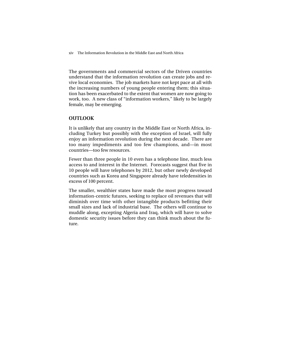xiv The Information Revolution in the Middle East and North Africa

The governments and commercial sectors of the Driven countries understand that the information revolution can create jobs and revive local economies. The job markets have not kept pace at all with the increasing numbers of young people entering them; this situation has been exacerbated to the extent that women are now going to work, too. A new class of "information workers," likely to be largely female, may be emerging.

#### **OUTLOOK**

It is unlikely that any country in the Middle East or North Africa, including Turkey but possibly with the exception of Israel, will fully enjoy an information revolution during the next decade. There are too many impediments and too few champions, and—in most countries—too few resources.

Fewer than three people in 10 even has a telephone line, much less access to and interest in the Internet. Forecasts suggest that five in 10 people will have telephones by 2012, but other newly developed countries such as Korea and Singapore already have teledensities in excess of 100 percent.

The smaller, wealthier states have made the most progress toward information-centric futures, seeking to replace oil revenues that will diminish over time with other intangible products befitting their small sizes and lack of industrial base. The others will continue to muddle along, excepting Algeria and Iraq, which will have to solve domestic security issues before they can think much about the future.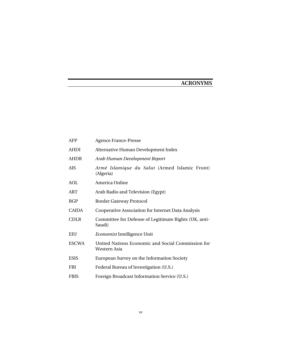# **ACRONYMS**

| AFP          | <b>Agence France-Presse</b>                                       |
|--------------|-------------------------------------------------------------------|
| <b>AHDI</b>  | Alternative Human Development Index                               |
| <b>AHDR</b>  | Arab Human Development Report                                     |
| <b>AIS</b>   | Armé Islamique du Salut (Armed Islamic Front)<br>(Algeria)        |
| AOL          | America Online                                                    |
| ART          | Arab Radio and Television (Egypt)                                 |
| <b>BGP</b>   | <b>Border Gateway Protocol</b>                                    |
| <b>CAIDA</b> | Cooperative Association for Internet Data Analysis                |
| <b>CDLR</b>  | Committee for Defense of Legitimate Rights (UK, anti-<br>Saudi)   |
| EIU          | Economist Intelligence Unit                                       |
| <b>ESCWA</b> | United Nations Economic and Social Commission for<br>Western Asia |
| <b>ESIS</b>  | European Survey on the Information Society                        |
| <b>FBI</b>   | Federal Bureau of Investigation (U.S.)                            |
| <b>FBIS</b>  | Foreign Broadcast Information Service (U.S.)                      |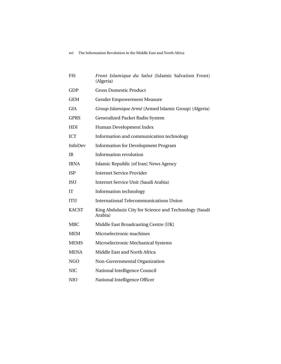| <b>FIS</b>   | Front Islamique du Salut (Islamic Salvation Front)<br>(Algeria)  |
|--------------|------------------------------------------------------------------|
| GDP          | Gross Domestic Product                                           |
| <b>GEM</b>   | <b>Gender Empowerment Measure</b>                                |
| <b>GIA</b>   | Group Islamique Armé (Armed Islamic Group) (Algeria)             |
| <b>GPRS</b>  | Generalized Packet Radio System                                  |
| <b>HDI</b>   | Human Development Index                                          |
| <b>ICT</b>   | Information and communication technology                         |
| InfoDev      | <b>Information for Development Program</b>                       |
| <b>IR</b>    | <b>Information revolution</b>                                    |
| <b>IRNA</b>  | Islamic Republic [of Iran] News Agency                           |
| <b>ISP</b>   | <b>Internet Service Provider</b>                                 |
| <b>ISU</b>   | Internet Service Unit (Saudi Arabia)                             |
| <b>IT</b>    | Information technology                                           |
| <b>ITU</b>   | <b>International Telecommunications Union</b>                    |
| <b>KACST</b> | King Abdulaziz City for Science and Technology (Saudi<br>Arabia) |
| <b>MBC</b>   | Middle East Broadcasting Centre (UK)                             |
| MEM          | Microelectronic machines                                         |
| <b>MEMS</b>  | Microelectronic Mechanical Systems                               |
| <b>MENA</b>  | Middle East and North Africa                                     |
| NGO          | Non-Governmental Organization                                    |
| NIC          | National Intelligence Council                                    |
| <b>NIO</b>   | National Intelligence Officer                                    |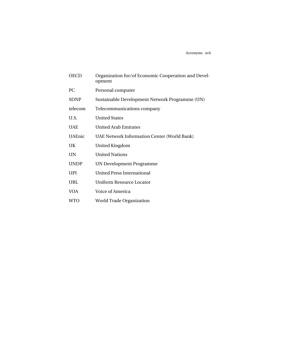# Acronyms xvii

| <b>OECD</b>   | Organization for/of Economic Cooperation and Devel-<br>opment |
|---------------|---------------------------------------------------------------|
| <sub>PC</sub> | Personal computer                                             |
| <b>SDNP</b>   | Sustainable Development Network Programme (UN)                |
| telecom       | Telecommunications company                                    |
| U.S.          | <b>United States</b>                                          |
| <b>UAE</b>    | <b>United Arab Emirates</b>                                   |
| <b>UAEnic</b> | <b>UAE Network Information Center (World Bank)</b>            |
| UK            | <b>United Kingdom</b>                                         |
| UN            | <b>United Nations</b>                                         |
| <b>UNDP</b>   | <b>UN Development Programme</b>                               |
| <b>UPI</b>    | <b>United Press International</b>                             |
| URL           | Uniform Resource Locator                                      |
| VOA           | Voice of America                                              |
| <b>WTO</b>    | <b>World Trade Organization</b>                               |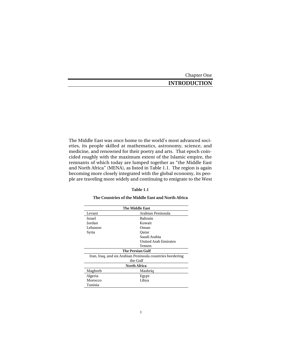#### Chapter One

# **INTRODUCTION**

The Middle East was once home to the world's most advanced societies, its people skilled at mathematics, astronomy, science, and medicine, and renowned for their poetry and arts. That epoch coincided roughly with the maximum extent of the Islamic empire, the remnants of which today are lumped together as "the Middle East and North Africa" (MENA), as listed in Table 1.1. The region is again becoming more closely integrated with the global economy, its people are traveling more widely and continuing to emigrate to the West

# **Table 1.1**

#### **The Countries of the Middle East and North Africa**

| <b>The Middle East</b>      |                                                           |  |  |  |
|-----------------------------|-----------------------------------------------------------|--|--|--|
| Arabian Peninsula<br>Levant |                                                           |  |  |  |
| Israel                      | Bahrain                                                   |  |  |  |
| Jordan                      | Kuwait                                                    |  |  |  |
| Lebanon                     | Oman                                                      |  |  |  |
| Syria                       | Oatar                                                     |  |  |  |
|                             | Saudi Arabia                                              |  |  |  |
|                             | United Arab Emirates                                      |  |  |  |
|                             | Yemen                                                     |  |  |  |
|                             | The Persian Gulf                                          |  |  |  |
|                             | Iran, Iraq, and six Arabian Peninsula countries bordering |  |  |  |
| the Gulf                    |                                                           |  |  |  |
| North Africa                |                                                           |  |  |  |
| Maghreb                     | Mashriq                                                   |  |  |  |
| Algeria                     | Egypt                                                     |  |  |  |
| Morocco                     | Libya                                                     |  |  |  |
| Tunisia                     |                                                           |  |  |  |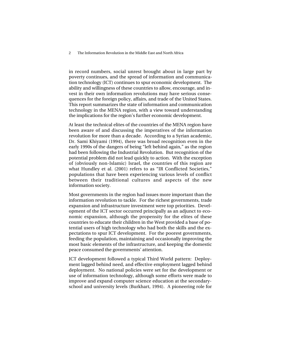#### 2 The Information Revolution in the Middle East and North Africa

in record numbers, social unrest brought about in large part by poverty continues, and the spread of information and communication technology (ICT) continues to spur economic development. The ability and willingness of these countries to allow, encourage, and invest in their own information revolutions may have serious consequences for the foreign policy, affairs, and trade of the United States. This report summarizes the state of information and communication technology in the MENA region, with a view toward understanding the implications for the region's further economic development.

At least the technical elites of the countries of the MENA region have been aware of and discussing the imperatives of the information revolution for more than a decade. According to a Syrian academic, Dr. Sami Khiyami (1994), there was broad recognition even in the early 1990s of the dangers of being "left behind again," as the region had been following the Industrial Revolution. But recognition of the potential problem did not lead quickly to action. With the exception of (obviously non-Islamic) Israel, the countries of this region are what Hundley et al. (2001) refers to as "IR Conflicted Societies," populations that have been experiencing various levels of conflict between their traditional cultures and aspects of the new information society.

Most governments in the region had issues more important than the information revolution to tackle. For the richest governments, trade expansion and infrastructure investment were top priorities. Development of the ICT sector occurred principally as an adjunct to economic expansion, although the propensity for the elites of these countries to educate their children in the West provided a base of potential users of high technology who had both the skills and the expectations to spur ICT development. For the poorest governments, feeding the population, maintaining and occasionally improving the most basic elements of the infrastructure, and keeping the domestic peace consumed the governments' attention.

ICT development followed a typical Third World pattern: Deployment lagged behind need, and effective employment lagged behind deployment. No national policies were set for the development or use of information technology, although some efforts were made to improve and expand computer science education at the secondaryschool and university levels (Burkhart, 1994). A pioneering role for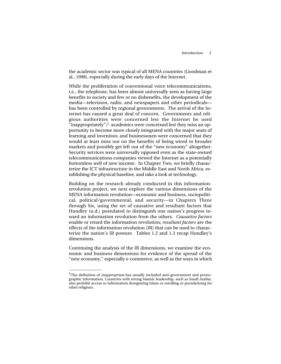the academic sector was typical of all MENA countries (Goodman et al., 1998), especially during the early days of the Internet.

While the proliferation of conventional voice telecommunications, i.e., the telephone, has been almost universally seen as having large benefits to society and few or no disbenefits, the development of the media—television, radio, and newspapers and other periodicals has been controlled by regional governments. The arrival of the Internet has caused a great deal of concern. Governments and religious authorities were concerned lest the Internet be used "inappropriately";<sup>1</sup> academics were concerned lest they miss an opportunity to become more closely integrated with the major seats of learning and invention; and businessmen were concerned that they would at least miss out on the benefits of being wired to broader markets and possibly get left out of the "new economy" altogether. Security services were universally opposed even as the state-owned telecommunications companies viewed the Internet as a potentially bottomless well of new income. In Chapter Two, we briefly characterize the ICT infrastructure in the Middle East and North Africa, establishing the physical baseline, and take a look at technology.

Building on the research already conducted in this informationrevolution project, we next explore the various dimensions of the MENA information revolution—economic and business, sociopolitical, political/governmental, and security—in Chapters Three through Six, using the set of causative and resultant factors that Hundley (n.d.) postulated to distinguish one nation's progress toward an information revolution from the others. *Causative factors* enable or retard the information revolution; *resultant factors* are the effects of the information revolution (IR) that can be used to characterize the nation's IR posture. Tables 1.2 and 1.3 recap Hundley's dimensions.

Continuing the analysis of the IR dimensions, we examine the economic and business dimensions for evidence of the spread of the "new economy," especially e-commerce, as well as the ways in which

\_\_\_\_\_\_\_\_\_\_\_\_\_\_

<sup>&</sup>lt;sup>1</sup>The definition of *inappropriate* has usually included anti-government and pornographic information. Countries with strong Islamic leadership, such as Saudi Arabia, also prohibit access to information denigrating Islam or extolling or proselytizing for other religions.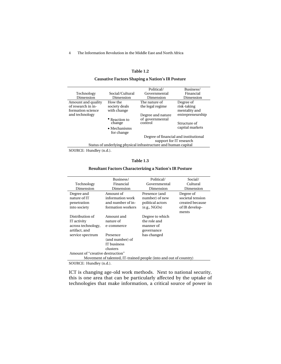4 The Information Revolution in the Middle East and North Africa

# **Table 1.2**

#### **Causative Factors Shaping a Nation's IR Posture**

|                                                                |                 | Political/                            | Business/        |  |
|----------------------------------------------------------------|-----------------|---------------------------------------|------------------|--|
| Technology                                                     | Social/Cultural | Governmental                          | Financial        |  |
| Dimension                                                      | Dimension       | Dimension                             | Dimension        |  |
| Amount and quality                                             | How the         | The nature of                         | Degree of        |  |
| of research in in-                                             | society deals   | the legal regime                      | risk-taking      |  |
| formation science                                              | with change     |                                       | mentality and    |  |
| and technology                                                 |                 | Degree and nature                     | entrepreneurship |  |
|                                                                | • Reaction to   | of governmental                       |                  |  |
|                                                                | change          | control                               | Structure of     |  |
|                                                                | • Mechanisms    |                                       | capital markets  |  |
|                                                                | for change      |                                       |                  |  |
|                                                                |                 | Degree of financial and institutional |                  |  |
| support for IT research                                        |                 |                                       |                  |  |
| Status of underlying physical infrastructure and human capital |                 |                                       |                  |  |
| $COTIDCD.$ ILugallers (m. d.)                                  |                 |                                       |                  |  |

SOURCE: Hundley (n.d.).

#### **Table 1.3**

#### **Resultant Factors Characterizing a Nation's IR Posture**

|                                                                   | Business/         | Political/       | Social/          |
|-------------------------------------------------------------------|-------------------|------------------|------------------|
| Technology                                                        | Financial         | Governmental     | Cultural         |
| Dimension                                                         | Dimension         | Dimension        | Dimension        |
| Degree and                                                        | Amount of         | Presence (and    | Degree of        |
| nature of IT                                                      | information work  | number) of new   | societal tension |
| penetration                                                       | and number of in- | political actors | created because  |
| into society                                                      | formation workers | (e.g., NGOs)     | of IR develop-   |
|                                                                   |                   |                  | ments            |
| Distribution of                                                   | Amount and        | Degree to which  |                  |
| IT activity                                                       | nature of         | the role and     |                  |
| across technology,                                                | e-commerce        | manner of        |                  |
| artifact, and                                                     |                   | governance       |                  |
| service spectrum                                                  | Presence          | has changed      |                  |
|                                                                   | (and number) of   |                  |                  |
|                                                                   | IT business       |                  |                  |
|                                                                   | clusters          |                  |                  |
| Amount of "creative destruction"                                  |                   |                  |                  |
| Movement of talented, IT-trained people (into and out of country) |                   |                  |                  |

SOURCE: Hundley (n.d.).

ICT is changing age-old work methods. Next to national security, this is one area that can be particularly affected by the uptake of technologies that make information, a critical source of power in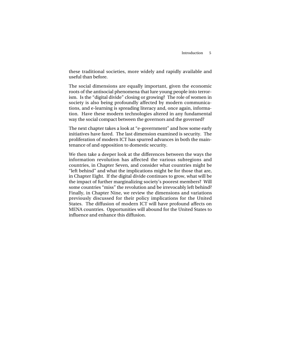these traditional societies, more widely and rapidly available and useful than before.

The social dimensions are equally important, given the economic roots of the antisocial phenomena that lure young people into terrorism. Is the "digital divide" closing or growing? The role of women in society is also being profoundly affected by modern communications, and e-learning is spreading literacy and, once again, information. Have these modern technologies altered in any fundamental way the social compact between the governors and the governed?

The next chapter takes a look at "e-government" and how some early initiatives have fared. The last dimension examined is security. The proliferation of modern ICT has spurred advances in both the maintenance of and opposition to domestic security.

We then take a deeper look at the differences between the ways the information revolution has affected the various subregions and countries, in Chapter Seven, and consider what countries might be "left behind" and what the implications might be for those that are, in Chapter Eight. If the digital divide continues to grow, what will be the impact of further marginalizing society's poorest members? Will some countries "miss" the revolution and be irrevocably left behind? Finally, in Chapter Nine, we review the dimensions and variations previously discussed for their policy implications for the United States. The diffusion of modern ICT will have profound affects on MENA countries. Opportunities will abound for the United States to influence and enhance this diffusion.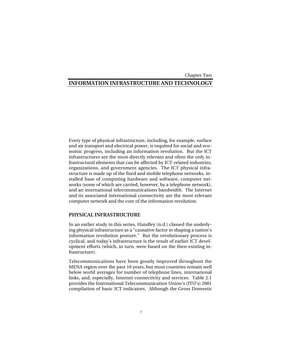#### Chapter Two

# **INFORMATION INFRASTRUCTURE AND TECHNOLOGY**

Every type of physical infrastructure, including, for example, surface and air transport and electrical power, is required for social and economic progress, including an information revolution. But the ICT infrastructures are the most directly relevant and often the only infrastructural elements that can be affected by ICT-related industries, organizations, and government agencies. The ICT physical infrastructure is made up of the fixed and mobile telephone networks, installed base of computing hardware and software, computer networks (some of which are carried, however, by a telephone network), and an international telecommunications bandwidth. The Internet and its associated international connectivity are the most relevant computer network and the core of the information revolution.

### **PHYSICAL INFRASTRUCTURE**

In an earlier study in this series, Hundley (n.d.) classed the underlying physical infrastructure as a "causative factor in shaping a nation's information revolution posture." But the revolutionary process is cyclical, and today's infrastructure is the result of earlier ICT development efforts (which, in turn, were based on the then-existing infrastructure).

Telecommunications have been greatly improved throughout the MENA region over the past 10 years, but most countries remain well below world averages for number of telephone lines, international links, and, especially, Internet connectivity and services. Table 2.1 provides the International Telecommunication Union's (ITU's) 2001 compilation of basic ICT indicators. Although the Gross Domestic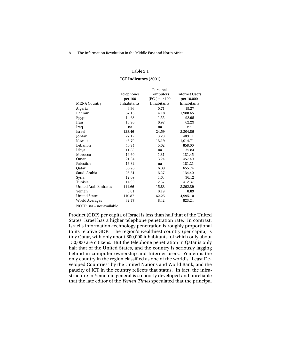#### 8 The Information Revolution in the Middle East and North Africa

#### **Table 2.1**

#### **ICT Indicators (2001)**

|                             |             | Personal          |                       |
|-----------------------------|-------------|-------------------|-----------------------|
|                             | Telephones  | Computers         | <b>Internet Users</b> |
|                             | per 100     | $(PCs)$ per $100$ | per 10,000            |
| <b>MENA Country</b>         | Inhabitants | Inhabitants       | Inhabitants           |
| Algeria                     | 6.36        | 0.71              | 19.27                 |
| Bahrain                     | 67.15       | 14.18             | 1,988.65              |
| Egypt                       | 14.63       | 1.55              | 92.95                 |
| Iran                        | 18.70       | 6.97              | 62.29                 |
| Iraq                        | na          | na                | na                    |
| Israel                      | 128.46      | 24.59             | 2,304.86              |
| Jordan                      | 27.12       | 3.28              | 409.11                |
| Kuwait                      | 48.79       | 13.19             | 1,014.71              |
| Lebanon                     | 40.74       | 5.62              | 858.00                |
| Libya                       | 11.83       | na                | 35.84                 |
| Morocco                     | 19.60       | 1.31              | 131.45                |
| Oman                        | 21.34       | 3.24              | 457.49                |
| Palestine                   | 16.82       | na                | 181.21                |
| Qatar                       | 56.76       | 16.39             | 655.74                |
| Saudi Arabia                | 25.81       | 6.27              | 134.40                |
| Syria                       | 12.09       | 1.63              | 36.12                 |
| Tunisia                     | 14.90       | 2.37              | 412.37                |
| <b>United Arab Emirates</b> | 111.66      | 15.83             | 3,392.39              |
| Yemen                       | 3.01        | 0.19              | 8.89                  |
| <b>United States</b>        | 110.87      | 62.25             | 4,995.10              |
| <b>World Averages</b>       | 32.77       | 8.42              | 823.24                |

NOTE: na = not available.

Product (GDP) per capita of Israel is less than half that of the United States, Israel has a higher telephone penetration rate. In contrast, Israel's information-technology penetration is roughly proportional to its relative GDP. The region's wealthiest country (per capita) is tiny Qatar, with only about 600,000 inhabitants, of which only about 150,000 are citizens. But the telephone penetration in Qatar is only half that of the United States, and the country is seriously lagging behind in computer ownership and Internet users. Yemen is the only country in the region classified as one of the world's "Least Developed Countries" by the United Nations and World Bank, and the paucity of ICT in the country reflects that status. In fact, the infrastructure in Yemen in general is so poorly developed and unreliable that the late editor of the *Yemen Times* speculated that the principal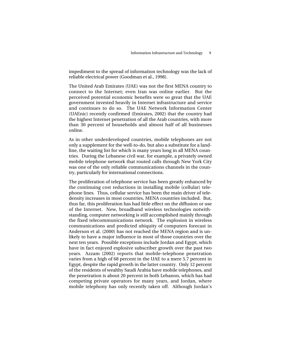impediment to the spread of information technology was the lack of reliable electrical power (Goodman et al., 1998).

The United Arab Emirates (UAE) was not the first MENA country to connect to the Internet; even Iran was online earlier. But the perceived potential economic benefits were so great that the UAE government invested heavily in Internet infrastructure and service and continues to do so. The UAE Network Information Center (UAEnic) recently confirmed (Emirates, 2002) that the country had the highest Internet penetration of all the Arab countries, with more than 30 percent of households and almost half of all businesses online.

As in other underdeveloped countries, mobile telephones are not only a supplement for the well-to-do, but also a substitute for a landline, the waiting list for which is many years long in all MENA countries. During the Lebanese civil war, for example, a privately owned mobile telephone network that routed calls through New York City was one of the only reliable communications channels in the country, particularly for international connections.

The proliferation of telephone service has been greatly enhanced by the continuing cost reductions in installing mobile (cellular) telephone lines. Thus, cellular service has been the main driver of teledensity increases in most countries, MENA countries included. But, thus far, this proliferation has had little effect on the diffusion or use of the Internet. New, broadband wireless technologies notwithstanding, computer networking is still accomplished mainly through the fixed telecommunications network. The explosion in wireless communications and predicted ubiquity of computers forecast in Anderson et al. (2000) has not reached the MENA region and is unlikely to have a major influence in most of those countries over the next ten years. Possible exceptions include Jordan and Egypt, which have in fact enjoyed explosive subscriber growth over the past two years. Azzam (2002) reports that mobile-telephone penetration varies from a high of 68 percent in the UAE to a mere 5.7 percent in Egypt, despite the rapid growth in the latter country. Only 12 percent of the residents of wealthy Saudi Arabia have mobile telephones, and the penetration is about 20 percent in both Lebanon, which has had competing private operators for many years, and Jordan, where mobile telephony has only recently taken off. Although Jordan's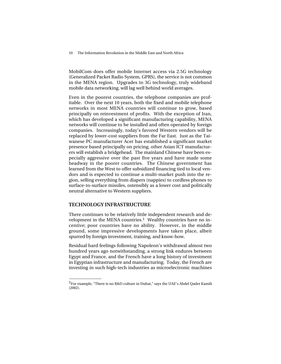MobilCom does offer mobile Internet access via 2.5G technology (Generalized Packet Radio System, GPRS), the service is not common in the MENA region. Upgrades to 3G technology, truly wideband mobile data networking, will lag well behind world averages.

Even in the poorest countries, the telephone companies are profitable. Over the next 10 years, both the fixed and mobile telephone networks in most MENA countries will continue to grow, based principally on reinvestment of profits. With the exception of Iran, which has developed a significant manufacturing capability, MENA networks will continue to be installed and often operated by foreign companies. Increasingly, today's favored Western vendors will be replaced by lower-cost suppliers from the Far East. Just as the Taiwanese PC manufacturer Acer has established a significant market presence based principally on pricing, other Asian ICT manufacturers will establish a bridgehead. The mainland Chinese have been especially aggressive over the past five years and have made some headway in the poorer countries. The Chinese government has learned from the West to offer subsidized financing tied to local vendors and is expected to continue a multi-market push into the region, selling everything from diapers (nappies) to cordless phones to surface-to-surface missiles, ostensibly as a lower cost and politically neutral alternative to Western suppliers.

#### **TECHNOLOGY INFRASTRUCTURE**

\_\_\_\_\_\_\_\_\_\_\_\_\_\_

There continues to be relatively little independent research and development in the MENA countries.<sup>1</sup> Wealthy countries have no incentive; poor countries have no ability. However, in the middle ground, some impressive developments have taken place, albeit spurred by foreign investment, training, and know-how.

Residual hard feelings following Napoleon's withdrawal almost two hundred years ago notwithstanding, a strong link endures between Egypt and France, and the French have a long history of investment in Egyptian infrastructure and manufacturing. Today, the French are investing in such high-tech industries as microelectronic machines

 $^{\rm 1}$ For example, "There is no R&D culture in Dubai," says the UAE's Abdel Qader Kamili (2002).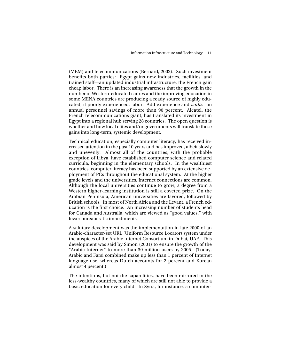(MEM) and telecommunications (Bernard, 2002). Such investment benefits both parties: Egypt gains new industries, facilities, and trained staff—an updated industrial infrastructure; the French gain cheap labor. There is an increasing awareness that the growth in the number of Western-educated cadres and the improving education in some MENA countries are producing a ready source of highly educated, if poorly experienced, labor. Add experience and *voilá*: an annual personnel savings of more than 90 percent. Alcatel, the French telecommunications giant, has translated its investment in Egypt into a regional hub serving 28 countries. The open question is whether and how local elites and/or governments will translate these gains into long-term, systemic development.

Technical education, especially computer literacy, has received increased attention in the past 10 years and has improved, albeit slowly and unevenly. Almost all of the countries, with the probable exception of Libya, have established computer science and related curricula, beginning in the elementary schools. In the wealthiest countries, computer literacy has been supported by an extensive deployment of PCs throughout the educational system. At the higher grade levels and the universities, Internet connections are common. Although the local universities continue to grow, a degree from a Western higher-learning institution is still a coveted prize. On the Arabian Peninsula, American universities are favored, followed by British schools. In most of North Africa and the Levant, a French education is the first choice. An increasing number of students head for Canada and Australia, which are viewed as "good values," with fewer bureaucratic impediments.

A salutary development was the implementation in late 2000 of an Arabic-character-set URL (Uniform Resource Locator) system under the auspices of the Arabic Internet Consortium in Dubai, UAE. This development was said by Simon (2001) to ensure the growth of the "Arabic Internet" to more than 30 million users by 2005. (Today, Arabic and Farsi combined make up less than 1 percent of Internet language use, whereas Dutch accounts for 2 percent and Korean almost 4 percent.)

The intentions, but not the capabilities, have been mirrored in the less-wealthy countries, many of which are still not able to provide a basic education for every child. In Syria, for instance, a computer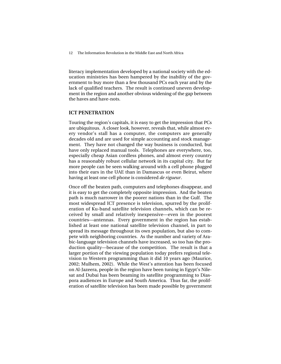12 The Information Revolution in the Middle East and North Africa

literacy implementation developed by a national society with the education ministries has been hampered by the inability of the government to buy more than a few thousand PCs each year and by the lack of qualified teachers. The result is continued uneven development in the region and another obvious widening of the gap between the haves and have-nots.

#### **ICT PENETRATION**

Touring the region's capitals, it is easy to get the impression that PCs are ubiquitous. A closer look, however, reveals that, while almost every vendor's stall has a computer, the computers are generally decades old and are used for simple accounting and stock management. They have not changed the way business is conducted, but have only replaced manual tools. Telephones are everywhere, too, especially cheap Asian cordless phones, and almost every country has a reasonably robust cellular network in its capital city. But far more people can be seen walking around with a cell phone plugged into their ears in the UAE than in Damascus or even Beirut, where having at least one cell phone is considered *de rigueur*.

Once off the beaten path, computers and telephones disappear, and it is easy to get the completely opposite impression. And the beaten path is much narrower in the poorer nations than in the Gulf. The most widespread ICT presence is television, spurred by the proliferation of Ku-band satellite television channels, which can be received by small and relatively inexpensive—even in the poorest countries—antennas. Every government in the region has established at least one national satellite television channel, in part to spread its message throughout its own population, but also to compete with neighboring countries. As the number and variety of Arabic-language television channels have increased, so too has the production quality—because of the competition. The result is that a larger portion of the viewing population today prefers regional television to Western programming than it did 10 years ago (Maurice, 2002; Mulhem, 2002). While the West's attention has been focused on Al-Jazeera, people in the region have been tuning in Egypt's Nilesat and Dubai has been beaming its satellite programming to Diaspora audiences in Europe and South America. Thus far, the proliferation of satellite television has been made possible by government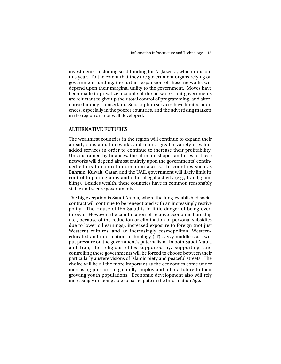investments, including seed funding for Al-Jazeera, which runs out this year. To the extent that they are government organs relying on government funding, the further expansion of these networks will depend upon their marginal utility to the government. Moves have been made to privatize a couple of the networks, but governments are reluctant to give up their total control of programming, and alternative funding is uncertain. Subscription services have limited audiences, especially in the poorer countries, and the advertising markets in the region are not well developed.

# **ALTERNATIVE FUTURES**

The wealthiest countries in the region will continue to expand their already-substantial networks and offer a greater variety of valueadded services in order to continue to increase their profitability. Unconstrained by finances, the ultimate shapes and uses of these networks will depend almost entirely upon the governments' continued efforts to control information access. In countries such as Bahrain, Kuwait, Qatar, and the UAE, government will likely limit its control to pornography and other illegal activity (e.g., fraud, gambling). Besides wealth, these countries have in common reasonably stable and secure governments.

The big exception is Saudi Arabia, where the long-established social contract will continue to be renegotiated with an increasingly restive polity. The House of Ibn Sa'ud is in little danger of being overthrown. However, the combination of relative economic hardship (i.e., because of the reduction or elimination of personal subsidies due to lower oil earnings), increased exposure to foreign (not just Western) cultures, and an increasingly cosmopolitan, Westerneducated and information technology (IT)-savvy middle class will put pressure on the government's paternalism. In both Saudi Arabia and Iran, the religious elites supported by, supporting, and controlling these governments will be forced to choose between their particularly austere visions of Islamic piety and peaceful streets. The choice will be all the more important as the economies come under increasing pressure to gainfully employ and offer a future to their growing youth populations. Economic development also will rely increasingly on being able to participate in the Information Age.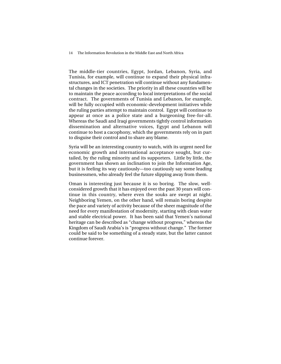#### 14 The Information Revolution in the Middle East and North Africa

The middle-tier countries, Egypt, Jordan, Lebanon, Syria, and Tunisia, for example, will continue to expand their physical infrastructures, and ICT penetration will continue without any fundamental changes in the societies. The priority in all these countries will be to maintain the peace according to local interpretations of the social contract. The governments of Tunisia and Lebanon, for example, will be fully occupied with economic-development initiatives while the ruling parties attempt to maintain control. Egypt will continue to appear at once as a police state and a burgeoning free-for-all. Whereas the Saudi and Iraqi governments tightly control information dissemination and alternative voices, Egypt and Lebanon will continue to host a cacophony, which the governments rely on in part to disguise their control and to share any blame.

Syria will be an interesting country to watch, with its urgent need for economic growth and international acceptance sought, but curtailed, by the ruling minority and its supporters. Little by little, the government has shown an inclination to join the Information Age, but it is feeling its way cautiously—too cautiously say some leading businessmen, who already feel the future slipping away from them.

Oman is interesting just because it is so boring. The slow, wellconsidered growth that it has enjoyed over the past 30 years will continue in this country, where even the souks are swept at night. Neighboring Yemen, on the other hand, will remain boring despite the pace and variety of activity because of the sheer magnitude of the need for every manifestation of modernity, starting with clean water and stable electrical power. It has been said that Yemen's national heritage can be described as "change without progress," whereas the Kingdom of Saudi Arabia's is "progress without change." The former could be said to be something of a steady state, but the latter cannot continue forever.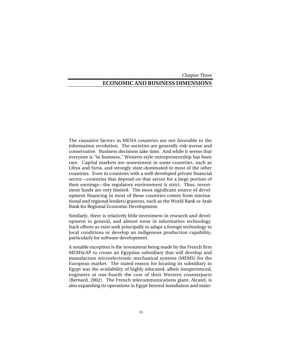#### Chapter Three

# **ECONOMIC AND BUSINESS DIMENSIONS**

The causative factors in MENA countries are not favorable to the information revolution. The societies are generally risk-averse and conservative. Business decisions take time. And while it seems that everyone is "in business," Western-style entrepreneurship has been rare. Capital markets are nonexistent in some countries, such as Libya and Syria, and strongly state-dominated in most of the other countries. Even in countries with a well-developed private financial sector—countries that depend on that sector for a large portion of their earnings—the regulatory environment is strict. Thus, investment funds are very limited. The most significant source of development financing in most of these countries comes from international and regional lenders/grantors, such as the World Bank or Arab Bank for Regional Economic Development.

Similarly, there is relatively little investment in research and development in general, and almost none in information technology. Such efforts as exist seek principally to adapt a foreign technology to local conditions or develop an indigenous production capability, particularly for software development.

A notable exception is the investment being made by the French firm MEMScAP to create an Egyptian subsidiary that will develop and manufacture microelectronic mechanical systems (MEMS) for the European market. The stated reason for locating its subsidiary in Egypt was the availability of highly educated, albeit inexperienced, engineers at one-fourth the cost of their Western counterparts (Bernard, 2002). The French telecommunications giant, Alcatel, is also expanding its operations in Egypt beyond installation and main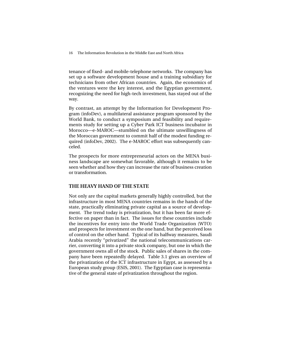16 The Information Revolution in the Middle East and North Africa

tenance of fixed- and mobile-telephone networks. The company has set up a software development house and a training subsidiary for technicians from other African countries. Again, the economics of the ventures were the key interest, and the Egyptian government, recognizing the need for high-tech investment, has stayed out of the way.

By contrast, an attempt by the Information for Development Program (infoDev), a multilateral assistance program sponsored by the World Bank, to conduct a symposium and feasibility and requirements study for setting up a Cyber Park ICT business incubator in Morocco—e-MAROC—stumbled on the ultimate unwillingness of the Moroccan government to commit half of the modest funding required (infoDev, 2002). The e-MAROC effort was subsequently canceled.

The prospects for more entrepreneurial actors on the MENA business landscape are somewhat favorable, although it remains to be seen whether and how they can increase the rate of business creation or transformation.

#### **THE HEAVY HAND OF THE STATE**

Not only are the capital markets generally highly controlled, but the infrastructure in most MENA countries remains in the hands of the state, practically eliminating private capital as a source of development. The trend today is privatization, but it has been far more effective on paper than in fact. The issues for these countries include the incentives for entry into the World Trade Organization (WTO) and prospects for investment on the one hand, but the perceived loss of control on the other hand. Typical of its halfway measures, Saudi Arabia recently "privatized" the national telecommunications carrier, converting it into a private stock company, but one in which the government owns all of the stock. Public sales of shares in the company have been repeatedly delayed. Table 3.1 gives an overview of the privatization of the ICT infrastructure in Egypt, as assessed by a European study group (ESIS, 2001). The Egyptian case is representative of the general state of privatization throughout the region.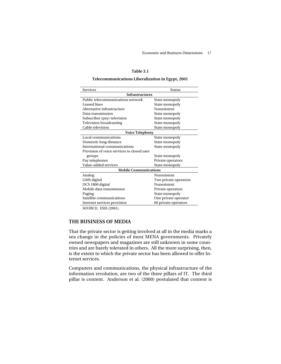# **Table 3.1**

#### **Telecommunications Liberalization in Egypt, 2001**

| <b>Services</b>                            | Status                |
|--------------------------------------------|-----------------------|
| <b>Infrastructures</b>                     |                       |
| Public telecommunications network          | State monopoly        |
| Leased lines                               | State monopoly        |
| Alternative infrastructure                 | Nonexistent           |
| Data transmission                          | State monopoly        |
| Subscriber (pay) television                | State monopoly        |
| Television broadcasting                    | State monopoly        |
| Cable television                           | State monopoly        |
| <b>Voice Telephony</b>                     |                       |
| Local communications                       | State monopoly        |
| Domestic long distance                     | State monopoly        |
| International communications               | State monopoly        |
| Provision of voice services to closed user |                       |
| groups                                     | State monopoly        |
| Pay telephones                             | Private operators     |
| Value-added services                       | State monopoly        |
| <b>Mobile Communications</b>               |                       |
| Analog                                     | Nonexistent           |
| GMS digital                                | Two private operators |
| DCS 1800 digital                           | Nonexistent           |
| Mobile data transmission                   | Private operators     |
| Paging                                     | State monopoly        |
| Satellite communications                   | One private operator  |
| Internet services provision                | 60 private operators  |
| <b>SOURCE: ESIS (2001).</b>                |                       |

#### **THE BUSINESS OF MEDIA**

That the private sector is getting involved at all in the media marks a sea change in the policies of most MENA governments. Privately owned newspapers and magazines are still unknown in some countries and are barely tolerated in others. All the more surprising, then, is the extent to which the private sector has been allowed to offer Internet services.

Computers and communications, the physical infrastructure of the information revolution, are two of the three pillars of IT. The third pillar is content. Anderson et al. (2000) postulated that content is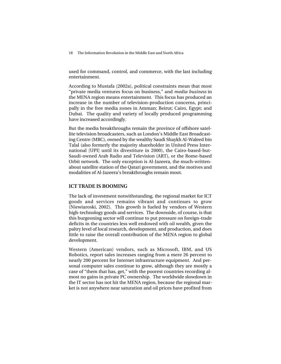used for command, control, and commerce, with the last including entertainment.

According to Mustafa (2002a), political constraints mean that most "private media ventures focus on business," and *media business* in the MENA region means entertainment. This focus has produced an increase in the number of television-production concerns, principally in the free media zones in Amman; Beirut; Cairo, Egypt; and Dubai. The quality and variety of locally produced programming have increased accordingly.

But the media breakthroughs remain the province of offshore satellite television broadcasters, such as London's Middle East Broadcasting Centre (MBC), owned by the wealthy Saudi Shaykh Al-Waleed bin Talal (also formerly the majority shareholder in United Press International [UPI] until its divestiture in 2000), the Cairo-based-but-Saudi-owned Arab Radio and Television (ART), or the Rome-based Orbit network. The only exception is Al-Jazeera, the much-writtenabout satellite station of the Qatari government, and the motives and modalities of Al-Jazeera's breakthroughs remain moot.

#### **ICT TRADE IS BOOMING**

The lack of investment notwithstanding, the regional market for ICT goods and services remains vibrant and continues to grow (Niewiaroski, 2002). This growth is fueled by vendors of Western high-technology goods and services. The downside, of course, is that this burgeoning sector will continue to put pressure on foreign-trade deficits in the countries less well endowed with oil wealth, given the paltry level of local research, development, and production, and does little to raise the overall contribution of the MENA region to global development.

Western (American) vendors, such as Microsoft, IBM, and US Robotics, report sales increases ranging from a mere 26 percent to nearly 200 percent for Internet infrastructure equipment. And personal computer sales continue to grow, although they are mostly a case of "them that has, get," with the poorest countries recording almost no gains in private PC ownership. The worldwide slowdown in the IT sector has not hit the MENA region, because the regional market is not anywhere near saturation and oil prices have profited from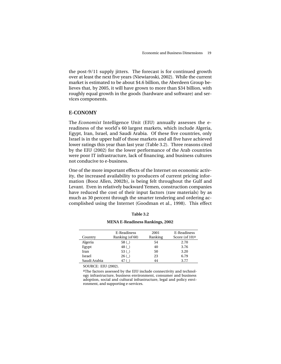the post-9/11 supply jitters. The forecast is for continued growth over at least the next five years (Niewiaroski, 2002). While the current market is estimated to be about \$4.6 billion, the Aberdeen Group believes that, by 2005, it will have grown to more than \$34 billion, with roughly equal growth in the goods (hardware and software) and services components.

#### **E-CONOMY**

The *Economist* Intelligence Unit (EIU) annually assesses the ereadiness of the world's 60 largest markets, which include Algeria, Egypt, Iran, Israel, and Saudi Arabia. Of these five countries, only Israel is in the upper half of those markets and all five have achieved lower ratings this year than last year (Table 3.2). Three reasons cited by the EIU (2002) for the lower performance of the Arab countries were poor IT infrastructure, lack of financing, and business cultures not conducive to e-business.

One of the more important effects of the Internet on economic activity, the increased availability to producers of current pricing information (Booz Allen, 2002b), is being felt throughout the Gulf and Levant. Even in relatively backward Yemen, construction companies have reduced the cost of their input factors (raw materials) by as much as 30 percent through the smarter tendering and ordering accomplished using the Internet (Goodman et al., 1998). This effect

#### **Table 3.2**

#### **MENA E-Readiness Rankings, 2002**

|              | E-Readiness     | 2001    | E-Readiness                   |
|--------------|-----------------|---------|-------------------------------|
| Country      | Ranking (of 60) | Ranking | Score (of $10$ ) <sup>a</sup> |
| Algeria      | 58 ()           | 54      | 2.70                          |
| Egypt        | 48 ()           | 40      | 3.76                          |
| Iran         | 53()            | 50      | 3.20                          |
| Israel       | 26()            | 23      | 6.79                          |
| Saudi Arabia |                 | 44      | 3.77                          |

SOURCE: EIU (2002).

aThe factors assessed by the EIU include connectivity and technology infrastructure, business environment, consumer and business adoption, social and cultural infrastructure, legal and policy environment, and supporting e-services.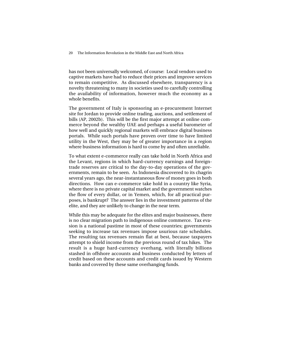has not been universally welcomed, of course: Local vendors used to captive markets have had to reduce their prices and improve services to remain competitive. As discussed elsewhere, transparency is a novelty threatening to many in societies used to carefully controlling the availability of information, however much the economy as a whole benefits.

The government of Italy is sponsoring an e-procurement Internet site for Jordan to provide online trading, auctions, and settlement of bills (AP, 2002b). This will be the first major attempt at online commerce beyond the wealthy UAE and perhaps a useful barometer of how well and quickly regional markets will embrace digital business portals. While such portals have proven over time to have limited utility in the West, they may be of greater importance in a region where business information is hard to come by and often unreliable.

To what extent e-commerce really can take hold in North Africa and the Levant, regions in which hard-currency earnings and foreigntrade reserves are critical to the day-to-day operations of the governments, remain to be seen. As Indonesia discovered to its chagrin several years ago, the near-instantaneous flow of money goes in both directions. How can e-commerce take hold in a country like Syria, where there is no private capital market and the government watches the flow of every dollar, or in Yemen, which, for all practical purposes, is bankrupt? The answer lies in the investment patterns of the elite, and they are unlikely to change in the near term.

While this may be adequate for the elites and major businesses, there is no clear migration path to indigenous online commerce. Tax evasion is a national pastime in most of these countries; governments seeking to increase tax revenues impose usurious rate schedules. The resulting tax revenues remain flat at best, because taxpayers attempt to shield income from the previous round of tax hikes. The result is a huge hard-currency overhang, with literally billions stashed in offshore accounts and business conducted by letters of credit based on these accounts and credit cards issued by Western banks and covered by these same overhanging funds.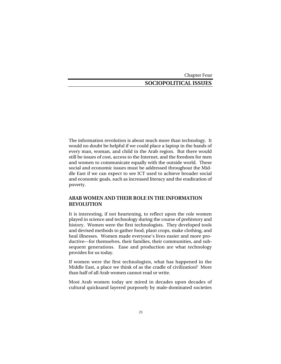Chapter Four

# **SOCIOPOLITICAL ISSUES**

The information revolution is about much more than technology. It would no doubt be helpful if we could place a laptop in the hands of every man, woman, and child in the Arab region. But there would still be issues of cost, access to the Internet, and the freedom for men and women to communicate equally with the outside world. These social and economic issues must be addressed throughout the Middle East if we can expect to see ICT used to achieve broader social and economic goals, such as increased literacy and the eradication of poverty.

# **ARAB WOMEN AND THEIR ROLE IN THE INFORMATION REVOLUTION**

It is interesting, if not heartening, to reflect upon the role women played in science and technology during the course of prehistory and history. Women were the first technologists. They developed tools and devised methods to gather food, plant crops, make clothing, and heal illnesses. Women made everyone's lives easier and more productive—for themselves, their families, their communities, and subsequent generations. Ease and production are what technology provides for us today.

If women were the first technologists, what has happened in the Middle East, a place we think of as the cradle of civilization? More than half of all Arab women cannot read or write.

Most Arab women today are mired in decades upon decades of cultural quicksand layered purposely by male-dominated societies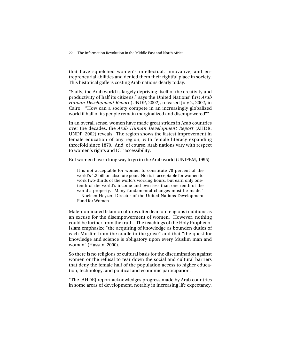that have squelched women's intellectual, innovative, and entrepreneurial abilities and denied them their rightful place in society. This historical gaffe is costing Arab nations dearly today.

"Sadly, the Arab world is largely depriving itself of the creativity and productivity of half its citizens," says the United Nations' first *Arab Human Development Report* (UNDP, 2002), released July 2, 2002, in Cairo. "How can a society compete in an increasingly globalized world if half of its people remain marginalized and disempowered?"

In an overall sense, women have made great strides in Arab countries over the decades, the *Arab Human Development Report* (AHDR; UNDP, 2002) reveals. The region shows the fastest improvement in female education of any region, with female literacy expanding threefold since 1870. And, of course, Arab nations vary with respect to women's rights and ICT accessibility.

But women have a long way to go in the Arab world (UNIFEM, 1995).

It is not acceptable for women to constitute 70 percent of the world's 1.3 billion absolute poor. Nor is it acceptable for women to work two-thirds of the world's working hours, but earn only onetenth of the world's income and own less than one-tenth of the world's property. Many fundamental changes must be made." —Noeleen Heyzer, Director of the United Nations Development Fund for Women.

Male-dominated Islamic cultures often lean on religious traditions as an excuse for the disempowerment of women. However, nothing could be further from the truth. The teachings of the Holy Prophet of Islam emphasize "the acquiring of knowledge as bounden duties of each Muslim from the cradle to the grave" and that "the quest for knowledge and science is obligatory upon every Muslim man and woman" (Hassan, 2000).

So there is no religious or cultural basis for the discrimination against women or the refusal to tear down the social and cultural barriers that deny the female half of the population access to higher education, technology, and political and economic participation.

"The [AHDR] report acknowledges progress made by Arab countries in some areas of development, notably in increasing life expectancy,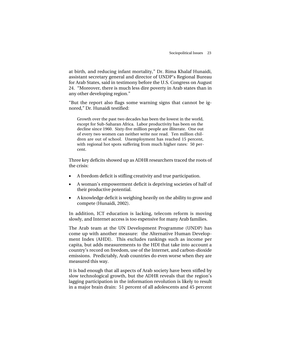at birth, and reducing infant mortality," Dr. Rima Khalaf Hunaidi, assistant secretary general and director of UNDP's Regional Bureau for Arab States, said in testimony before the U.S. Congress on August 24. "Moreover, there is much less dire poverty in Arab states than in any other developing region."

"But the report also flags some warning signs that cannot be ignored," Dr. Hunaidi testified:

Growth over the past two decades has been the lowest in the world, except for Sub-Saharan Africa. Labor productivity has been on the decline since 1960. Sixty-five million people are illiterate. One out of every two women can neither write nor read. Ten million children are out of school. Unemployment has reached 15 percent, with regional hot spots suffering from much higher rates: 50 percent.

Three key deficits showed up as ADHR researchers traced the roots of the crisis:

- A freedom deficit is stifling creativity and true participation.
- A woman's empowerment deficit is depriving societies of half of their productive potential.
- A knowledge deficit is weighing heavily on the ability to grow and compete (Hunaidi, 2002).

In addition, ICT education is lacking, telecom reform is moving slowly, and Internet access is too expensive for many Arab families.

The Arab team at the UN Development Programme (UNDP) has come up with another measure: the Alternative Human Development Index (AHDI). This excludes rankings such as income per capita, but adds measurements to the HDI that take into account a country's record on freedom, use of the Internet, and carbon-dioxide emissions. Predictably, Arab countries do even worse when they are measured this way.

It is bad enough that all aspects of Arab society have been stifled by slow technological growth, but the ADHR reveals that the region's lagging participation in the information revolution is likely to result in a major brain drain: 51 percent of all adolescents and 45 percent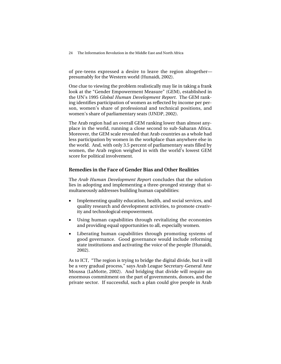of pre-teens expressed a desire to leave the region altogether presumably for the Western world (Hunaidi, 2002).

One clue to viewing the problem realistically may lie in taking a frank look at the "Gender Empowerment Measure" (GEM), established in the UN's 1995 *Global Human Development Report*. The GEM ranking identifies participation of women as reflected by income per person, women's share of professional and technical positions, and women's share of parliamentary seats (UNDP, 2002).

The Arab region had an overall GEM ranking lower than almost anyplace in the world, running a close second to sub-Saharan Africa. Moreover, the GEM scale revealed that Arab countries as a whole had less participation by women in the workplace than anywhere else in the world. And, with only 3.5 percent of parliamentary seats filled by women, the Arab region weighed in with the world's lowest GEM score for political involvement.

## **Remedies in the Face of Gender Bias and Other Realities**

The *Arab Human Development Repor*t concludes that the solution lies in adopting and implementing a three-pronged strategy that simultaneously addresses building human capabilities:

- Implementing quality education, health, and social services, and quality research and development activities, to promote creativity and technological empowerment.
- Using human capabilities through revitalizing the economies and providing equal opportunities to all, especially women.
- Liberating human capabilities through promoting systems of good governance. Good governance would include reforming state institutions and activating the voice of the people (Hunaidi, 2002).

As to ICT, "The region is trying to bridge the digital divide, but it will be a very gradual process," says Arab League Secretary-General Amr Moussa (LaMotte, 2002). And bridging that divide will require an enormous commitment on the part of governments, donors, and the private sector. If successful, such a plan could give people in Arab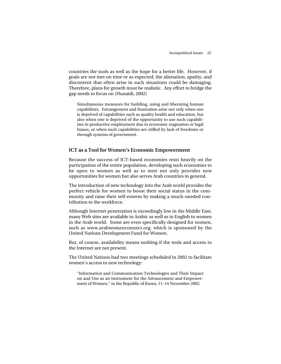countries the tools as well as the hope for a better life. However, if goals are not met on time or as expected, the alienation, apathy, and discontent that often arise in such situations could be damaging. Therefore, plans for growth must be realistic. Any effort to bridge the gap needs to focus on (Hunaidi, 2002)

Simultaneous measures for building, using and liberating human capabilities. Estrangement and frustration arise not only when one is deprived of capabilities such as quality health and education, but also when one is deprived of the opportunity to use such capabilities in productive employment due to economic stagnation or legal biases, or when such capabilities are stifled by lack of freedoms or through systems of government.

#### **ICT as a Tool for Women's Economic Empowerment**

Because the success of ICT-based economies rests heavily on the participation of the entire population, developing such economies to be open to women as well as to men not only provides new opportunities for women but also serves Arab countries in general.

The introduction of new technology into the Arab world provides the perfect vehicle for women to boost their social status in the community and raise their self-esteem by making a much-needed contribution to the workforce.

Although Internet penetration is exceedingly low in the Middle East, many Web sites are available in Arabic as well as in English to women in the Arab world. Some are even specifically designed for women, such as www.arabwomenconnect.org, which is sponsored by the United Nations Development Fund for Women.

But, of course, availability means nothing if the tools and access to the Internet are not present.

The United Nations had two meetings scheduled in 2002 to facilitate women's access to new technology:

"Information and Communication Technologies and Their Impact on and Use as an Instrument for the Advancement and Empowerment of Women," in the Republic of Korea, 11–14 November 2002.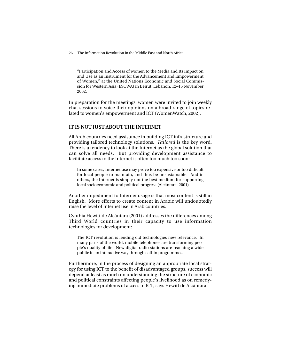"Participation and Access of women to the Media and Its Impact on and Use as an Instrument for the Advancement and Empowerment of Women," at the United Nations Economic and Social Commission for Western Asia (ESCWA) in Beirut, Lebanon, 12–15 November 2002.

In preparation for the meetings, women were invited to join weekly chat sessions to voice their opinions on a broad range of topics related to women's empowerment and ICT (WomenWatch, 2002).

#### **IT IS NOT JUST ABOUT THE INTERNET**

All Arab countries need assistance in building ICT infrastructure and providing tailored technology solutions. *Tailored* is the key word. There is a tendency to look at the Internet as the global solution that can solve all needs. But providing development assistance to facilitate access to the Internet is often too much too soon:

In some cases, Internet use may prove too expensive or too difficult for local people to maintain, and thus be unsustainable. And in others, the Internet is simply not the best medium for supporting local socioeconomic and political progress (Alcántara, 2001).

Another impediment to Internet usage is that most content is still in English. More efforts to create content in Arabic will undoubtedly raise the level of Internet use in Arab countries.

Cynthia Hewitt de Alcántara (2001) addresses the differences among Third World countries in their capacity to use information technologies for development:

The ICT revolution is lending old technologies new relevance. In many parts of the world, mobile telephones are transforming people's quality of life. New digital radio stations are reaching a wide public in an interactive way through call-in programmes.

Furthermore, in the process of designing an appropriate local strategy for using ICT to the benefit of disadvantaged groups, success will depend at least as much on understanding the structure of economic and political constraints affecting people's livelihood as on remedying immediate problems of access to ICT, says Hewitt de Alcántara.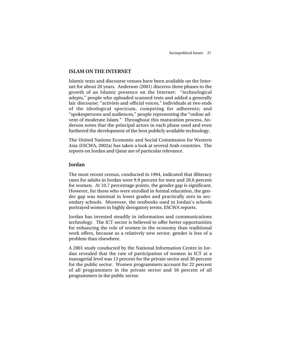# **ISLAM ON THE INTERNET**

Islamic texts and discourse venues have been available on the Internet for about 20 years. Anderson (2001) discerns three phases to the growth of an Islamic presence on the Internet: "technological adepts," people who uploaded scanned texts and added a generally laic discourse; "activists and official voices," individuals at two ends of the ideological spectrum, competing for adherents; and "spokespersons and audiences," people representing the "online advent of moderate Islam." Throughout this maturation process, Anderson notes that the principal actors in each phase used and even furthered the development of the best publicly available technology.

The United Nations Economic and Social Commission for Western Asia (ESCWA, 2002a) has taken a look at several Arab countries. The reports on Jordan and Qatar are of particular relevance.

## **Jordan**

The most recent census, conducted in 1994, indicated that illiteracy rates for adults in Jordan were 9.9 percent for men and 20.6 percent for women. At 10.7 percentage points, the gender gap is significant. However, for those who were enrolled in formal education, the gender gap was minimal in lower grades and practically zero in secondary schools. Moreover, the textbooks used in Jordan's schools portrayed women in highly derogatory terms, ESCWA reports.

Jordan has invested steadily in information and communications technology. The ICT sector is believed to offer better opportunities for enhancing the role of women in the economy than traditional work offers, because as a relatively new sector, gender is less of a problem than elsewhere.

A 2001 study conducted by the National Information Centre in Jordan revealed that the rate of participation of women in ICT at a managerial level was 13 percent for the private sector and 30 percent for the public sector. Women programmers account for 22 percent of all programmers in the private sector and 50 percent of all programmers in the public sector.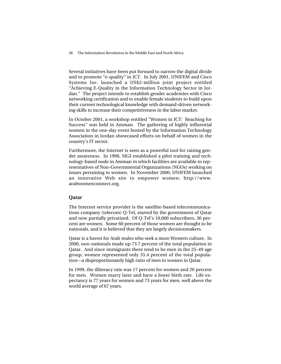Several initiatives have been put forward to narrow the digital divide and to promote "e-quality" in ICT. In July 2001, UNIFEM and Cisco Systems Inc. launched a US\$2-million joint project entitled "Achieving E-Quality in the Information Technology Sector in Jordan." The project intends to establish gender academies with Cisco networking certification and to enable female students to build upon their current technological knowledge with demand-driven networking skills to increase their competitiveness in the labor market.

In October 2001, a workshop entitled "Women in ICT: Reaching for Success" was held in Amman. The gathering of highly influential women in the one-day event hosted by the Information Technology Association in Jordan showcased efforts on behalf of women in the country's IT sector.

Furthermore, the Internet is seen as a powerful tool for raising gender awareness. In 1998, SIGI established a pilot training and technology-based node in Amman in which facilities are available to representatives of Non-Governmental Organizations (NGOs) working on issues pertaining to women. In November 2000, UNIFEM launched an innovative Web site to empower women: http://www. arabwomenconnect.org.

## **Qatar**

The Internet service provider is the satellite-based telecommunications company (telecom) Q-Tel, started by the government of Qatar and now partially privatized. Of Q-Tel's 10,000 subscribers, 30 percent are women. Some 60 percent of those women are thought to be nationals, and it is believed that they are largely decisionmakers.

Qatar is a haven for Arab males who seek a more Western culture. In 2000, non-nationals made up 73.7 percent of the total population in Qatar. And since immigrants there tend to be men in the 25–49 age group, women represented only 35.4 percent of the total population—a disproportionately high ratio of men to women in Qatar.

In 1999, the illiteracy rate was 17 percent for women and 20 percent for men. Women marry later and have a lower birth rate. Life expectancy is 77 years for women and 73 years for men, well above the world average of 67 years.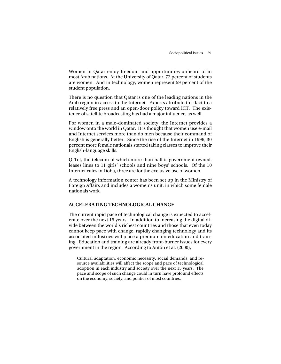Women in Qatar enjoy freedom and opportunities unheard of in most Arab nations. At the University of Qatar, 72 percent of students are women. And in technology, women represent 59 percent of the student population.

There is no question that Qatar is one of the leading nations in the Arab region in access to the Internet. Experts attribute this fact to a relatively free press and an open-door policy toward ICT. The existence of satellite broadcasting has had a major influence, as well.

For women in a male-dominated society, the Internet provides a window onto the world in Qatar. It is thought that women use e-mail and Internet services more than do men because their command of English is generally better. Since the rise of the Internet in 1996, 30 percent more female nationals started taking classes to improve their English-language skills.

Q-Tel, the telecom of which more than half is government owned, leases lines to 11 girls' schools and nine boys' schools. Of the 10 Internet cafes in Doha, three are for the exclusive use of women.

A technology information center has been set up in the Ministry of Foreign Affairs and includes a women's unit, in which some female nationals work.

# **ACCELERATING TECHNOLOGICAL CHANGE**

The current rapid pace of technological change is expected to accelerate over the next 15 years. In addition to increasing the digital divide between the world's richest countries and those that even today cannot keep pace with change, rapidly changing technology and its associated industries will place a premium on education and training. Education and training are already front-burner issues for every government in the region. According to Antón et al. (2000),

Cultural adaptation, economic necessity, social demands, and resource availabilities will affect the scope and pace of technological adoption in each industry and society over the next 15 years. The pace and scope of such change could in turn have profound effects on the economy, society, and politics of most countries.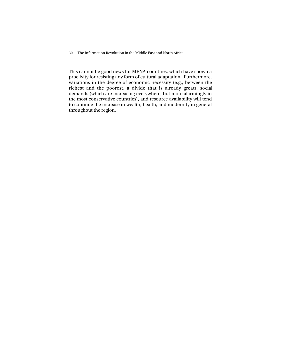This cannot be good news for MENA countries, which have shown a proclivity for resisting any form of cultural adaptation. Furthermore, variations in the degree of economic necessity (e.g., between the richest and the poorest, a divide that is already great), social demands (which are increasing everywhere, but more alarmingly in the most conservative countries), and resource availability will tend to continue the increase in wealth, health, and modernity in general throughout the region.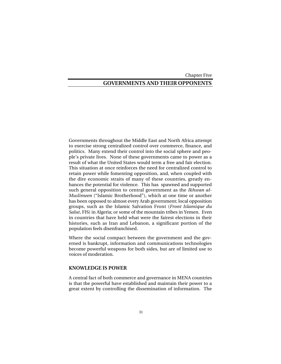Chapter Five

# **GOVERNMENTS AND THEIR OPPONENTS**

Governments throughout the Middle East and North Africa attempt to exercise strong centralized control over commerce, finance, and politics. Many extend their control into the social sphere and people's private lives. None of these governments came to power as a result of what the United States would term a free and fair election. This situation at once reinforces the need for centralized control to retain power while fomenting opposition, and, when coupled with the dire economic straits of many of these countries, greatly enhances the potential for violence. This has spawned and supported such general opposition to central government as the *Ikhwan al-Muslimeen* ("Islamic Brotherhood"), which at one time or another has been opposed to almost every Arab government; local opposition groups, such as the Islamic Salvation Front (*Front Islamique du Salut*, FIS) in Algeria; or some of the mountain tribes in Yemen. Even in countries that have held what were the fairest elections in their histories, such as Iran and Lebanon, a significant portion of the population feels disenfranchised.

Where the social compact between the government and the governed is bankrupt, information and communications technologies become powerful weapons for both sides, but are of limited use to voices of moderation.

# **KNOWLEDGE IS POWER**

A central fact of both commerce and governance in MENA countries is that the powerful have established and maintain their power to a great extent by controlling the dissemination of information. The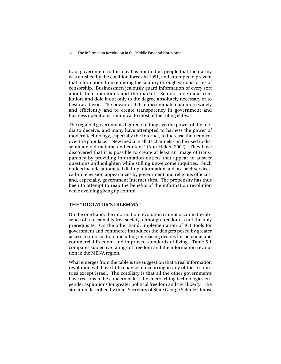Iraqi government to this day has not told its people that their army was crushed by the coalition forces in 1991, and attempts to prevent that information from entering the country through various forms of censorship. Businessmen jealously guard information of every sort about their operations and the market. Seniors hide data from juniors and dole it out only to the degree absolutely necessary or to bestow a favor. The power of ICT to disseminate data more widely and efficiently and to create transparency in government and business operations is inimical to most of the ruling elites.

The regional governments figured out long ago the power of the media to deceive, and many have attempted to harness the power of modern technology, especially the Internet, to increase their control over the populace: "New media in all its channels can be used to disseminate old material and content" (Abu Hijleh, 2002). They have discovered that it is possible to create at least an image of transparency by providing information outlets that appear to answer questions and enlighten while stifling unwelcome inquiries. Such outlets include automated dial-up information and fax-back services, call-in television appearances by government and religious officials, and, especially, government Internet sites. The propensity has thus been to attempt to reap the benefits of the information revolution while avoiding giving up control.

# **THE "DICTATOR'S DILEMMA"**

On the one hand, the information revolution cannot occur in the absence of a reasonably free society, although freedom is not the only prerequisite. On the other hand, implementation of ICT tools for government and commerce introduces the dangers posed by greater access to information, including increasing desires for personal and commercial freedom and improved standards of living. Table 5.1 compares subjective ratings of freedom and the information revolution in the MENA region.

What emerges from the table is the suggestion that a real information revolution will have little chance of occurring in any of these countries except Israel. The corollary is that all the other governments have reasons to be concerned lest the encroaching technologies engender aspirations for greater political freedom and civil liberty. The situation described by then–Secretary of State George Schultz almost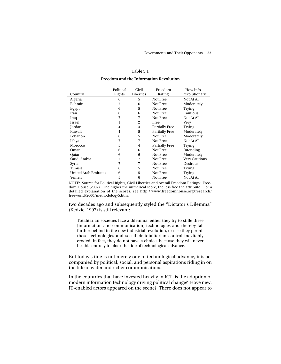|                             | Political | Civil     | Freedom               | How Info-            |
|-----------------------------|-----------|-----------|-----------------------|----------------------|
| Country                     | Rights    | Liberties | Rating                | "Revolutionary"      |
| Algeria                     | 6         | 5         | Not Free              | Not At All           |
| Bahrain                     |           | 6         | Not Free              | Moderately           |
| Egypt                       | 6         | 5         | Not Free              | Trying               |
| Iran                        | 6         | 6         | Not Free              | Cautious             |
| Iraq                        | 7         | 7         | Not Free              | Not At All           |
| <b>Israel</b>               | 1         | 2         | Free                  | Very                 |
| Jordan                      | 4         | 4         | <b>Partially Free</b> | Trying               |
| Kuwait                      | 4         | 5         | <b>Partially Free</b> | Moderately           |
| Lebanon                     | 6         | 5         | Not Free              | Moderately           |
| Libya                       | 7         | 7         | Not Free              | Not At All           |
| Morocco                     | 5         | 4         | <b>Partially Free</b> | Trying               |
| Oman                        | 6         | 6         | Not Free              | Intending            |
| Oatar                       | 6         | 6         | Not Free              | Moderately           |
| Saudi Arabia                | 7         | 7         | Not Free              | <b>Very Cautious</b> |
| Syria                       | 7         | 7         | Not Free              | Desirous             |
| Tunisia                     | 6         | 5         | Not Free              | Trying               |
| <b>United Arab Emirates</b> | 6         | 5         | Not Free              | Trying               |
| Yemen                       | 5         | 6         | Not Free              | Not At All           |

**Table 5.1 Freedom and the Information Revolution**

NOTE: Source for Political Rights, Civil Liberties and overall Freedom Ratings: Freedom House (2002). The higher the numerical score, the less free the attribute. For a detailed explanation of the scores, see http://www.freedomhouse.org/research/ freeworld/2000/methodology5.htm.

two decades ago and subsequently styled the "Dictator's Dilemma" (Kedzie, 1997) is still relevant:

Totalitarian societies face a dilemma: either they try to stifle these [information and communication] technologies and thereby fall further behind in the new industrial revolution, or else they permit these technologies and see their totalitarian control inevitably eroded. In fact, they do not have a choice, because they will never be able entirely to block the tide of technological advance.

But today's tide is not merely one of technological advance, it is accompanied by political, social, and personal aspirations riding in on the tide of wider and richer communications.

In the countries that have invested heavily in ICT, is the adoption of modern information technology driving political change? Have new, IT-enabled actors appeared on the scene? There does not appear to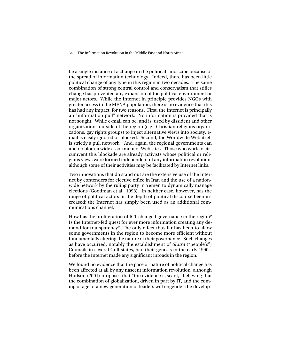be a single instance of a change in the political landscape because of the spread of information technology. Indeed, there has been little political change of any type in this region in two decades. The same combination of strong central control and conservatism that stifles change has prevented any expansion of the political environment or major actors. While the Internet in principle provides NGOs with greater access to the MENA population, there is no evidence that this has had any impact, for two reasons. First, the Internet is principally an "information pull" network: No information is provided that is not sought. While e-mail can be, and is, used by dissident and other organizations outside of the region (e.g., Christian religious organizations, gay rights groups) to inject alternative views into society, email is easily ignored or blocked. Second, the Worldwide Web itself is strictly a pull network. And, again, the regional governments can and do block a wide assortment of Web sites. Those who work to circumvent this blockade are already activists whose political or religious views were formed independent of any information revolution, although some of their activities may be facilitated by Internet links.

Two innovations that do stand out are the extensive use of the Internet by contenders for elective office in Iran and the use of a nationwide network by the ruling party in Yemen to dynamically manage elections (Goodman et al., 1998). In neither case, however, has the range of political actors or the depth of political discourse been increased; the Internet has simply been used as an additional communications channel.

How has the proliferation of ICT changed governance in the region? Is the Internet-fed quest for ever more information creating any demand for transparency? The only effect thus far has been to allow some governments in the region to become more efficient without fundamentally altering the nature of their governance. Such changes as have occurred, notably the establishment of *Shura* ("people's") Councils in several Gulf states, had their genesis in the early 1990s, before the Internet made any significant inroads in the region.

We found no evidence that the pace or nature of political change has been affected at all by any nascent information revolution, although Hudson (2001) proposes that "the evidence is scant," believing that the combination of globalization, driven in part by IT, and the coming of age of a new generation of leaders will engender the develop-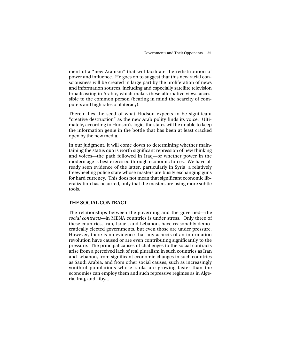ment of a "new Arabism" that will facilitate the redistribution of power and influence. He goes on to suggest that this new racial consciousness will be created in large part by the proliferation of news and information sources, including and especially satellite television broadcasting in Arabic, which makes these alternative views accessible to the common person (bearing in mind the scarcity of computers and high rates of illiteracy).

Therein lies the seed of what Hudson expects to be significant "creative destruction" as the new Arab polity finds its voice. Ultimately, according to Hudson's logic, the states will be unable to keep the information genie in the bottle that has been at least cracked open by the new media.

In our judgment, it will come down to determining whether maintaining the status quo is worth significant repression of new thinking and voices—the path followed in Iraq—or whether power in the modern age is best exercised through economic forces. We have already seen evidence of the latter, particularly in Syria, a relatively freewheeling police state whose masters are busily exchanging guns for hard currency. This does not mean that significant economic liberalization has occurred, only that the masters are using more subtle tools.

#### **THE SOCIAL CONTRACT**

The relationships between the governing and the governed—the *social contracts*—in MENA countries is under stress. Only three of these countries, Iran, Israel, and Lebanon, have reasonably democratically elected governments, but even those are under pressure. However, there is no evidence that any aspects of an information revolution have caused or are even contributing significantly to the pressure. The principal causes of challenges to the social contracts arise from a perceived lack of real pluralism in such countries as Iran and Lebanon, from significant economic changes in such countries as Saudi Arabia, and from other social causes, such as increasingly youthful populations whose ranks are growing faster than the economies can employ them and such repressive regimes as in Algeria, Iraq, and Libya.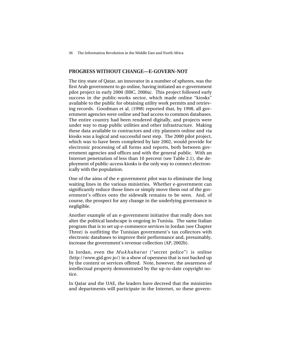## **PROGRESS WITHOUT CHANGE—E-GOVERN-NOT**

The tiny state of Qatar, an innovator in a number of spheres, was the first Arab government to go online, having initiated an e-government pilot project in early 2000 (BBC, 2000a). This project followed early success in the public-works sector, which made online "kiosks" available to the public for obtaining utility work permits and retrieving records. Goodman et al. (1998) reported that, by 1998, all government agencies were online and had access to common databases. The entire country had been rendered digitally, and projects were under way to map public utilities and other infrastructure. Making these data available to contractors and city planners online and via kiosks was a logical and successful next step. The 2000 pilot project, which was to have been completed by late 2002, would provide for electronic processing of all forms and reports, both between government agencies and offices and with the general public. With an Internet penetration of less than 10 percent (see Table 2.1), the deployment of public-access kiosks is the only way to connect electronically with the population.

One of the aims of the e-government pilot was to eliminate the long waiting lines in the various ministries. Whether e-government can significantly reduce those lines or simply move them out of the government's offices onto the sidewalk remains to be seen. And, of course, the prospect for any change in the underlying governance is negligible.

Another example of an e-government initiative that really does not alter the political landscape is ongoing in Tunisia. The same Italian program that is to set up e-commerce services in Jordan (see Chapter Three) is outfitting the Tunisian government's tax collectors with electronic databases to improve their performance and, presumably, increase the government's revenue collection (AP, 2002b).

In Jordan, even the *Mukhabarat* ("secret police") is online (http://www.gid.gov.jo/) in a show of openness that is not backed up by the content or services offered. Note, however, the awareness of intellectual property demonstrated by the up-to-date copyright notice.

In Qatar and the UAE, the leaders have decreed that the ministries and departments will participate in the Internet, so these govern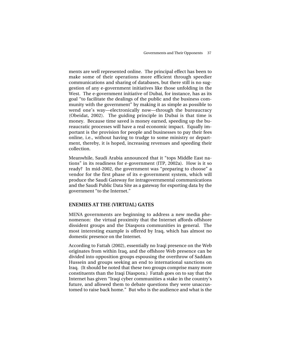ments are well represented online. The principal effect has been to make some of their operations more efficient through speedier communications and sharing of databases, but there still is no suggestion of any e-government initiatives like those unfolding in the West. The e-government initiative of Dubai, for instance, has as its goal "to facilitate the dealings of the public and the business community with the government" by making it as simple as possible to wend one's way—electronically now—through the bureaucracy (Obeidat, 2002). The guiding principle in Dubai is that time is money. Because time saved is money earned, speeding up the bureaucratic processes will have a real economic impact. Equally important is the provision for people and businesses to pay their fees online, i.e., without having to trudge to some ministry or department, thereby, it is hoped, increasing revenues and speeding their collection.

Meanwhile, Saudi Arabia announced that it "tops Middle East nations" in its readiness for e-government (ITP, 2002a). How is it so ready? In mid-2002, the government was "preparing to choose" a vendor for the first phase of its e-government system, which will produce the Saudi Gateway for intragovernmental communications and the Saudi Public Data Site as a gateway for exporting data by the government "to the Internet."

## **ENEMIES AT THE (VIRTUAL) GATES**

MENA governments are beginning to address a new media phenomenon: the virtual proximity that the Internet affords offshore dissident groups and the Diaspora communities in general. The most interesting example is offered by Iraq, which has almost no domestic presence on the Internet.

According to Fattah (2002), essentially no Iraqi presence on the Web originates from within Iraq, and the offshore Web presence can be divided into opposition groups espousing the overthrow of Saddam Hussein and groups seeking an end to international sanctions on Iraq. (It should be noted that these two groups comprise many more constituents than the Iraqi Diaspora.) Fattah goes on to say that the Internet has given "Iraqi cyber communities a stake in the country's future, and allowed them to debate questions they were unaccustomed to raise back home." But who is the audience and what is the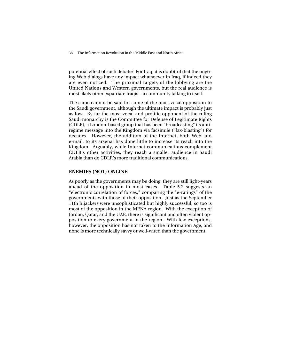potential effect of such debate? For Iraq, it is doubtful that the ongoing Web dialogs have any impact whatsoever in Iraq, if indeed they are even noticed. The proximal targets of the lobbying are the United Nations and Western governments, but the real audience is most likely other expatriate Iraqis—a community talking to itself.

The same cannot be said for some of the most vocal opposition to the Saudi government, although the ultimate impact is probably just as low. By far the most vocal and prolific opponent of the ruling Saudi monarchy is the Committee for Defense of Legitimate Rights (CDLR), a London-based group that has been "broadcasting" its antiregime message into the Kingdom via facsimile ("fax-blasting") for decades. However, the addition of the Internet, both Web and e-mail, to its arsenal has done little to increase its reach into the Kingdom. Arguably, while Internet communications complement CDLR's other activities, they reach a smaller audience in Saudi Arabia than do CDLR's more traditional communications.

## **ENEMIES (NOT) ONLINE**

As poorly as the governments may be doing, they are still light-years ahead of the opposition in most cases. Table 5.2 suggests an "electronic correlation of forces," comparing the "e-ratings" of the governments with those of their opposition. Just as the September 11th hijackers were unsophisticated but highly successful, so too is most of the opposition in the MENA region. With the exception of Jordan, Qatar, and the UAE, there is significant and often violent opposition to every government in the region. With few exceptions, however, the opposition has not taken to the Information Age, and none is more technically savvy or well-wired than the government.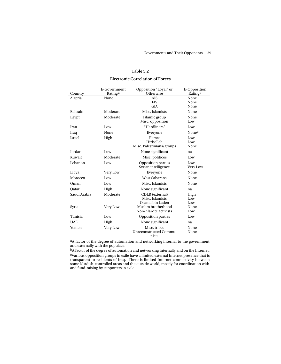## Governments and Their Opponents 39

# **Table 5.2**

#### **Electronic Correlation of Forces**

| E-Opposition |
|--------------|
| Ratingb      |
|              |
|              |
|              |
|              |
|              |
|              |
|              |
| Nonec        |
|              |
|              |
|              |
|              |
|              |
| Very Low     |
|              |
|              |
|              |
|              |
|              |
|              |
|              |
|              |
|              |
|              |
|              |
|              |
|              |

aA factor of the degree of automation and networking internal to the government and externally with the populace.

bA factor of the degree of automation and networking internally and on the Internet. cVarious opposition groups in exile have a limited external Internet presence that is transparent to residents of Iraq. There is limited Internet connectivity between some Kurdish-controlled areas and the outside world, mostly for coordination with and fund-raising by supporters in exile.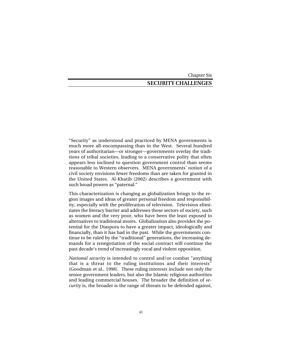#### Chapter Six

## **SECURITY CHALLENGES**

"Security" as understood and practiced by MENA governments is much more all-encompassing than in the West. Several hundred years of authoritarian—or stronger—governments overlay the traditions of tribal societies, leading to a conservative polity that often appears less inclined to question government control than seems reasonable to Western observers. MENA governments' notion of a civil society envisions fewer freedoms than are taken for granted in the United States. Al-Khatib (2002) describes a government with such broad powers as "paternal."

This characterization is changing as globalization brings to the region images and ideas of greater personal freedom and responsibility, especially with the proliferation of television. Television eliminates the literacy barrier and addresses those sectors of society, such as women and the very poor, who have been the least exposed to alternatives to traditional mores. Globalization also provides the potential for the Diaspora to have a greater impact, ideologically and financially, than it has had in the past. While the governments continue to be ruled by the "traditional" generations, the increasing demands for a renegotiation of the social contract will continue the past decade's trend of increasingly vocal and violent opposition.

*National security* is intended to control and/or combat "anything that is a threat to the ruling institutions and their interests" (Goodman et al., 1998). These ruling interests include not only the senior government leaders, but also the Islamic religious authorities and leading commercial houses. The broader the definition of *security* is, the broader is the range of threats to be defended against,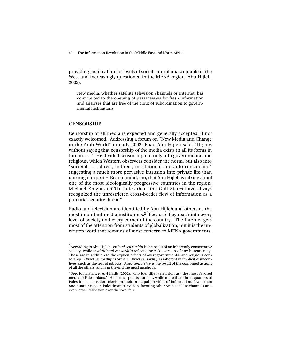providing justification for levels of social control unacceptable in the West and increasingly questioned in the MENA region (Abu Hijleh, 2002):

New media, whether satellite television channels or Internet, has contributed to the opening of passageways for fresh information and analyses that are free of the clout of subordination to governmental inclinations.

## **CENSORSHIP**

 $\overline{\phantom{a}}$ 

Censorship of all media is expected and generally accepted, if not exactly welcomed. Addressing a forum on "New Media and Change in the Arab World" in early 2002, Fuad Abu Hijleh said, "It goes without saying that censorship of the media exists in all its forms in Jordan. . . ." He divided censorship not only into governmental and religious, which Western observers consider the norm, but also into "societal, . . . direct, indirect, institutional and auto-censorship," suggesting a much more pervasive intrusion into private life than one might expect.1 Bear in mind, too, that Abu Hijleh is talking about one of the most ideologically progressive countries in the region. Michael Knights (2001) states that "the Gulf States have always recognized the unrestricted cross-border flow of information as a potential security threat."

Radio and television are identified by Abu Hijleh and others as the most important media institutions, $2$  because they reach into every level of society and every corner of the country. The Internet gets most of the attention from students of globalization, but it is the unwritten word that remains of most concern to MENA governments.

<sup>1</sup>According to Abu Hijleh, *societal censorship* is the result of an inherently conservative society, while *institutional censorship* reflects the risk aversion of any bureaucracy. These are in addition to the explicit effects of overt governmental and religious censorship. *Direct censorship* is overt; *indirect censorship* is inherent in implicit disincentives, such as the fear of job loss. *Auto-censorship* is the result of the combined actions of all the others, and is in the end the most insidious.

<sup>2</sup>See, for instance, Al-Khatib (2002), who identifies television as "the most favored media to Palestinians." He further points out that, while more than three-quarters of Palestinians consider television their principal provider of information, fewer than one-quarter rely on Palestinian television, favoring other Arab satellite channels and even Israeli television over the local fare.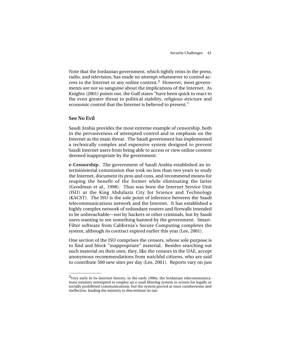Note that the Jordanian government, which tightly reins in the press, radio, and television, has made no attempt whatsoever to control access to the Internet or any online content.<sup>3</sup> However, most governments are not so sanguine about the implications of the Internet. As Knights (2001) points out, the Gulf states "have been quick to react to the even greater threat to political stability, religious stricture and economic control that the Internet is believed to present."

#### **See No Evil**

 $\overline{\phantom{a}}$ 

Saudi Arabia provides the most extreme example of censorship, both in the pervasiveness of attempted control and in emphasis on the Internet as the main threat. The Saudi government has implemented a technically complex and expensive system designed to prevent Saudi Internet users from being able to access or view online content deemed inappropriate by the government.

**e-Censorship.** The government of Saudi Arabia established an interministerial commission that took no less than two years to study the Internet, document its pros and cons, and recommend means for reaping the benefit of the former while eliminating the latter (Goodman et al., 1998). Thus was born the Internet Service Unit (ISU) at the King Abdulaziz City for Science and Technology (KACST). The ISU is the sole point of inference between the Saudi telecommunications network and the Internet. It has established a highly complex network of redundant routers and firewalls intended to be unbreachable—not by hackers or other criminals, but by Saudi users wanting to see something banned by the government. Smart-Filter software from California's Secure Computing completes the system, although its contract expired earlier this year (Lee, 2001).

One section of the ISU comprises the censors, whose sole purpose is to find and block "inappropriate" material. Besides searching out such material on their own, they, like the censors in the UAE, accept anonymous recommendations from watchful citizens, who are said to contribute 500 new sites per day (Lee, 2001). Reports vary on just

<sup>3</sup>Very early in its Internet history, in the early 1990s, the Jordanian telecommunications ministry attempted to employ an e-mail filtering system to screen for legally or socially prohibited communications, but the system proved at once cumbersome and ineffective, leading the ministry to discontinue its use.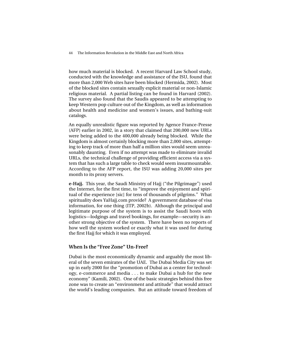how much material is blocked. A recent Harvard Law School study, conducted with the knowledge and assistance of the ISU, found that more than 2,000 Web sites have been blocked (Hermida, 2002). Most of the blocked sites contain sexually explicit material or non-Islamic religious material. A partial listing can be found in Harvard (2002). The survey also found that the Saudis appeared to be attempting to keep Western pop culture out of the Kingdom, as well as information about health and medicine and women's issues, and bathing-suit catalogs.

An equally unrealistic figure was reported by Agence France-Presse (AFP) earlier in 2002, in a story that claimed that 200,000 new URLs were being added to the 400,000 already being blocked. While the Kingdom is almost certainly blocking more than 2,000 sites, attempting to keep track of more than half a million sites would seem unreasonably daunting. Even if no attempt was made to eliminate invalid URLs, the technical challenge of providing efficient access via a system that has such a large table to check would seem insurmountable. According to the AFP report, the ISU was adding 20,000 sites per month to its proxy servers.

**e-Hajj.** This year, the Saudi Ministry of Hajj ("the Pilgrimage") used the Internet, for the first time, to "improve the enjoyment and spiritual of the experience [sic] for tens of thousands of pilgrims." What spirituality does YaHajj.com provide? A government database of visa information, for one thing (ITP, 2002b). Although the principal and legitimate purpose of the system is to assist the Saudi hosts with logistics—lodgings and travel bookings, for example—security is another strong objective of the system. There have been no reports of how well the system worked or exactly what it was used for during the first Hajj for which it was employed.

## **When Is the "Free Zone" Un-Free?**

Dubai is the most economically dynamic and arguably the most liberal of the seven emirates of the UAE. The Dubai Media City was set up in early 2000 for the "promotion of Dubai as a center for technology, e-commerce and media . . . to make Dubai a hub for the new economy" (Kamili, 2002). One of the basic strategies behind this free zone was to create an "environment and attitude" that would attract the world's leading companies. But an attitude toward freedom of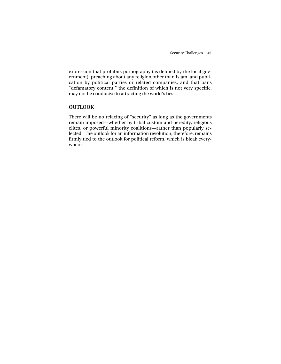expression that prohibits pornography (as defined by the local government), preaching about any religion other than Islam, and publication by political parties or related companies, and that bans "defamatory content," the definition of which is not very specific, may not be conducive to attracting the world's best.

# **OUTLOOK**

There will be no relaxing of "security" as long as the governments remain imposed—whether by tribal custom and heredity, religious elites, or powerful minority coalitions—rather than popularly selected. The outlook for an information revolution, therefore, remains firmly tied to the outlook for political reform, which is bleak everywhere.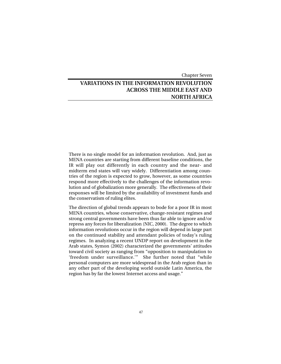#### Chapter Seven

# **VARIATIONS IN THE INFORMATION REVOLUTION ACROSS THE MIDDLE EAST AND NORTH AFRICA**

There is no single model for an information revolution. And, just as MENA countries are starting from different baseline conditions, the IR will play out differently in each country and the near- and midterm end states will vary widely. Differentiation among countries of the region is expected to grow, however, as some countries respond more effectively to the challenges of the information revolution and of globalization more generally. The effectiveness of their responses will be limited by the availability of investment funds and the conservatism of ruling elites.

The direction of global trends appears to bode for a poor IR in most MENA countries, whose conservative, change-resistant regimes and strong central governments have been thus far able to ignore and/or repress any forces for liberalization (NIC, 2000). The degree to which information revolutions occur in the region will depend in large part on the continued stability and attendant policies of today's ruling regimes. In analyzing a recent UNDP report on development in the Arab states, Symon (2002) characterized the governments' attitudes toward civil society as ranging from "opposition to manipulation to 'freedom under surveillance.'" She further noted that "while personal computers are more widespread in the Arab region than in any other part of the developing world outside Latin America, the region has by far the lowest Internet access and usage."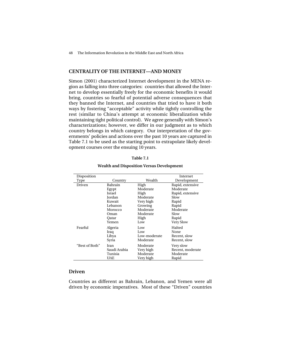## **CENTRALITY OF THE INTERNET—AND MONEY**

Simon (2001) characterized Internet development in the MENA region as falling into three categories: countries that allowed the Internet to develop essentially freely for the economic benefits it would bring, countries so fearful of potential adverse consequences that they banned the Internet, and countries that tried to have it both ways by fostering "acceptable" activity while tightly controlling the rest (similar to China's attempt at economic liberalization while maintaining tight political control). We agree generally with Simon's characterizations; however, we differ in our judgment as to which country belongs in which category. Our interpretation of the governments' policies and actions over the past 10 years are captured in Table 7.1 to be used as the starting point to extrapolate likely development courses over the ensuing 10 years.

| Disposition    |               |              | Internet         |
|----------------|---------------|--------------|------------------|
| Type           | Country       | Wealth       | Development      |
| Driven         | Bahrain       | High         | Rapid, extensive |
|                | Egypt         | Moderate     | Moderate         |
|                | <b>Israel</b> | High         | Rapid, extensive |
|                | Jordan        | Moderate     | Slow             |
|                | Kuwait        | Very high    | Rapid            |
|                | Lebanon       | Growing      | Rapid            |
|                | Morocco       | Moderate     | Moderate         |
|                | Oman          | Moderate     | Slow             |
|                | Oatar         | High         | Rapid            |
|                | Yemen         | Low          | Very Slow        |
| Fearful        | Algeria       | Low          | Halted           |
|                | Iraq          | Low          | None             |
|                | Libya         | Low-moderate | Recent, slow     |
|                | Syria         | Moderate     | Recent, slow     |
| "Best of Both" | Iran          | Moderate     | Very slow        |
|                | Saudi Arabia  | Very high    | Recent, moderate |
|                | Tunisia       | Moderate     | Moderate         |
|                | UAE           | Very high    | Rapid            |

**Table 7.1 Wealth and Disposition Versus Development**

#### **Driven**

Countries as different as Bahrain, Lebanon, and Yemen were all driven by economic imperatives. Most of these "Driven" countries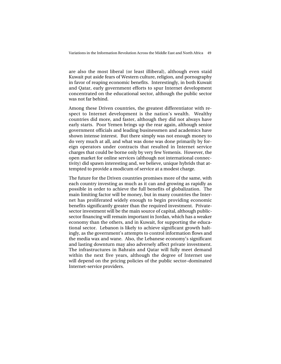are also the most liberal (or least illiberal), although even staid Kuwait put aside fears of Western culture, religion, and pornography in favor of reaping economic benefits. Interestingly, in both Kuwait and Qatar, early government efforts to spur Internet development concentrated on the educational sector, although the public sector was not far behind.

Among these Driven countries, the greatest differentiator with respect to Internet development is the nation's wealth. Wealthy countries did more, and faster, although they did not always have early starts. Poor Yemen brings up the rear again, although senior government officials and leading businessmen and academics have shown intense interest. But there simply was not enough money to do very much at all, and what was done was done primarily by foreign operators under contracts that resulted in Internet service charges that could be borne only by very few Yemenis. However, the open market for online services (although not international connectivity) did spawn interesting and, we believe, unique hybrids that attempted to provide a modicum of service at a modest charge.

The future for the Driven countries promises more of the same, with each country investing as much as it can and growing as rapidly as possible in order to achieve the full benefits of globalization. The main limiting factor will be money, but in many countries the Internet has proliferated widely enough to begin providing economic benefits significantly greater than the required investment. Privatesector investment will be the main source of capital, although publicsector financing will remain important in Jordan, which has a weaker economy than the others, and in Kuwait, for supporting the educational sector. Lebanon is likely to achieve significant growth haltingly, as the government's attempts to control information flows and the media wax and wane. Also, the Lebanese economy's significant and lasting downturn may also adversely affect private investment. The infrastructures in Bahrain and Qatar will fully meet demand within the next five years, although the degree of Internet use will depend on the pricing policies of the public sector–dominated Internet-service providers.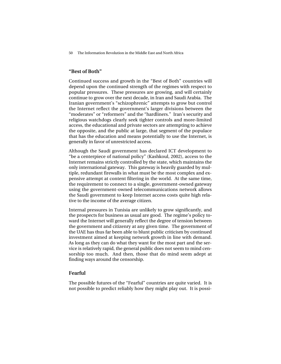# **"Best of Both"**

Continued success and growth in the "Best of Both" countries will depend upon the continued strength of the regimes with respect to popular pressures. These pressures are growing, and will certainly continue to grow over the next decade, in Iran and Saudi Arabia. The Iranian government's "schizophrenic" attempts to grow but control the Internet reflect the government's larger divisions between the "moderates" or "reformers" and the "hardliners." Iran's security and religious watchdogs clearly seek tighter controls and more-limited access, the educational and private sectors are attempting to achieve the opposite, and the public at large, that segment of the populace that has the education and means potentially to use the Internet, is generally in favor of unrestricted access.

Although the Saudi government has declared ICT development to "be a centerpiece of national policy" (Kashkoul, 2002), access to the Internet remains strictly controlled by the state, which maintains the only international gateway. This gateway is heavily guarded by multiple, redundant firewalls in what must be the most complex and expensive attempt at content filtering in the world. At the same time, the requirement to connect to a single, government-owned gateway using the government-owned telecommunications network allows the Saudi government to keep Internet access costs quite high relative to the income of the average citizen.

Internal pressures in Tunisia are unlikely to grow significantly, and the prospects for business as usual are good. The regime's policy toward the Internet will generally reflect the degree of tension between the government and citizenry at any given time. The government of the UAE has thus far been able to blunt public criticism by continued investment aimed at keeping network growth in line with demand. As long as they can do what they want for the most part and the service is relatively rapid, the general public does not seem to mind censorship too much. And then, those that do mind seem adept at finding ways around the censorship.

# **Fearful**

The possible futures of the "Fearful" countries are quite varied. It is not possible to predict reliably how they might play out. It is possi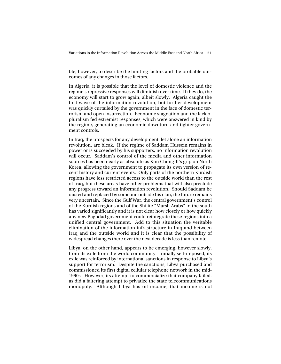ble, however, to describe the limiting factors and the probable outcomes of any changes in those factors.

In Algeria, it is possible that the level of domestic violence and the regime's repressive responses will diminish over time. If they do, the economy will start to grow again, albeit slowly. Algeria caught the first wave of the information revolution, but further development was quickly curtailed by the government in the face of domestic terrorism and open insurrection. Economic stagnation and the lack of pluralism fed extremist responses, which were answered in kind by the regime, generating an economic downturn and tighter government controls.

In Iraq, the prospects for any development, let alone an information revolution, are bleak. If the regime of Saddam Hussein remains in power or is succeeded by his supporters, no information revolution will occur. Saddam's control of the media and other information sources has been nearly as absolute as Kim Chong-Il's grip on North Korea, allowing the government to propagate its own version of recent history and current events. Only parts of the northern Kurdish regions have less restricted access to the outside world than the rest of Iraq, but these areas have other problems that will also preclude any progress toward an information revolution. Should Saddam be ousted and replaced by someone outside his clan, the future remains very uncertain. Since the Gulf War, the central government's control of the Kurdish regions and of the Shi'ite "Marsh Arabs" in the south has varied significantly and it is not clear how closely or how quickly any new Baghdad government could reintegrate these regions into a unified central government. Add to this situation the veritable elimination of the information infrastructure in Iraq and between Iraq and the outside world and it is clear that the possibility of widespread changes there over the next decade is less than remote.

Libya, on the other hand, appears to be emerging, however slowly, from its exile from the world community. Initially self-imposed, its exile was reinforced by international sanctions in response to Libya's support for terrorism. Despite the sanctions, Libya purchased and commissioned its first digital cellular telephone network in the mid-1990s. However, its attempt to commercialize that company failed, as did a faltering attempt to privatize the state telecommunications monopoly. Although Libya has oil income, that income is not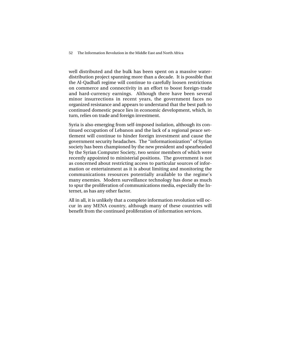well distributed and the bulk has been spent on a massive waterdistribution project spanning more than a decade. It is possible that the Al-Qadhafi regime will continue to carefully loosen restrictions on commerce and connectivity in an effort to boost foreign-trade and hard-currency earnings. Although there have been several minor insurrections in recent years, the government faces no organized resistance and appears to understand that the best path to continued domestic peace lies in economic development, which, in turn, relies on trade and foreign investment.

Syria is also emerging from self-imposed isolation, although its continued occupation of Lebanon and the lack of a regional peace settlement will continue to hinder foreign investment and cause the government security headaches. The "informationization" of Syrian society has been championed by the new president and spearheaded by the Syrian Computer Society, two senior members of which were recently appointed to ministerial positions. The government is not as concerned about restricting access to particular sources of information or entertainment as it is about limiting and monitoring the communications resources potentially available to the regime's many enemies. Modern surveillance technology has done as much to spur the proliferation of communications media, especially the Internet, as has any other factor.

All in all, it is unlikely that a complete information revolution will occur in any MENA country, although many of these countries will benefit from the continued proliferation of information services.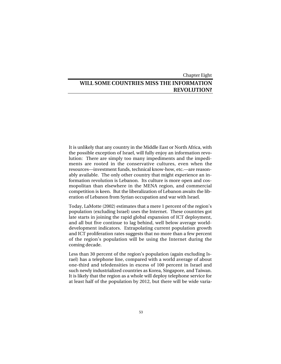#### Chapter Eight

# **WILL SOME COUNTRIES MISS THE INFORMATION REVOLUTION?**

It is unlikely that any country in the Middle East or North Africa, with the possible exception of Israel, will fully enjoy an information revolution: There are simply too many impediments and the impediments are rooted in the conservative cultures, even when the resources—investment funds, technical know-how, etc.—are reasonably available. The only other country that might experience an information revolution is Lebanon. Its culture is more open and cosmopolitan than elsewhere in the MENA region, and commercial competition is keen. But the liberalization of Lebanon awaits the liberation of Lebanon from Syrian occupation and war with Israel.

Today, LaMotte (2002) estimates that a mere 1 percent of the region's population (excluding Israel) uses the Internet. These countries got late starts in joining the rapid global expansion of ICT deployment, and all but five continue to lag behind, well below average worlddevelopment indicators. Extrapolating current population growth and ICT proliferation rates suggests that no more than a few percent of the region's population will be using the Internet during the coming decade.

Less than 30 percent of the region's population (again excluding Israel) has a telephone line, compared with a world average of about one-third and teledensities in excess of 100 percent in Israel and such newly industrialized countries as Korea, Singapore, and Taiwan. It is likely that the region as a whole will deploy telephone service for at least half of the population by 2012, but there will be wide varia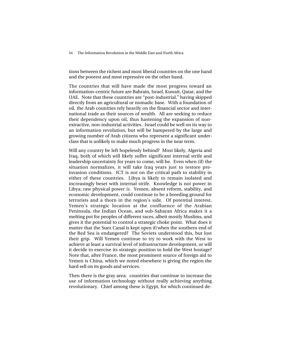tions between the richest and most liberal countries on the one hand and the poorest and most repressive on the other hand.

The countries that will have made the most progress toward an information-centric future are Bahrain, Israel, Kuwait, Qatar, and the UAE. Note that these countries are "post-industrial," having skipped directly from an agricultural or nomadic base. With a foundation of oil, the Arab countries rely heavily on the financial sector and international trade as their sources of wealth. All are seeking to reduce their dependency upon oil, thus hastening the expansion of nonextractive, non-industrial activities. Israel could be well on its way to an information revolution, but will be hampered by the large and growing number of Arab citizens who represent a significant underclass that is unlikely to make much progress in the near term.

Will any country be left hopelessly behind? Most likely, Algeria and Iraq, both of which will likely suffer significant internal strife and leadership uncertainty for years to come, will be. Even when (if) the situation normalizes, it will take Iraq years just to restore preinvasion conditions. ICT is not on the critical path to stability in either of these countries. Libya is likely to remain isolated and increasingly beset with internal strife. Knowledge is not power in Libya; raw physical power *is*. Yemen, absent reform, stability, and economic development, could continue to be a breeding ground for terrorists and a thorn in the region's side. Of potential interest, Yemen's strategic location at the confluence of the Arabian Peninsula, the Indian Ocean, and sub-Saharan Africa makes it a melting pot for peoples of different races, albeit mostly Muslims, and gives it the potential to control a strategic choke point. What does it matter that the Suez Canal is kept open if/when the southern end of the Red Sea is endangered? The Soviets understood this, but lost their grip. Will Yemen continue to try to work with the West to achieve at least a survival level of infrastructure development, or will it decide to exercise its strategic position to hold the West hostage? Note that, after France, the most prominent source of foreign aid to Yemen is China, which we noted elsewhere is giving the region the hard sell on its goods and services.

Then there is the gray area: countries that continue to increase the use of information technology without really achieving anything revolutionary. Chief among these is Egypt, for which continued de-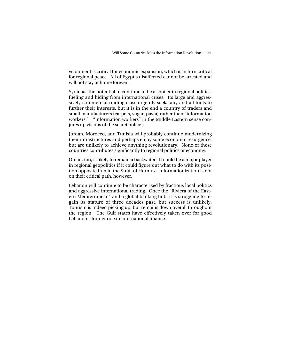velopment is critical for economic expansion, which is in turn critical for regional peace. All of Egypt's disaffected cannot be arrested and will not stay at home forever.

Syria has the potential to continue to be a spoiler in regional politics, fueling and hiding from international crises. Its large and aggressively commercial trading class urgently seeks any and all tools to further their interests, but it is in the end a country of traders and small manufacturers (carpets, sugar, pasta) rather than "information workers." ("Information workers" in the Middle Eastern sense conjures up visions of the secret police.)

Jordan, Morocco, and Tunisia will probably continue modernizing their infrastructures and perhaps enjoy some economic resurgence, but are unlikely to achieve anything revolutionary. None of these countries contributes significantly to regional politics or economy.

Oman, too, is likely to remain a backwater. It could be a major player in regional geopolitics if it could figure out what to do with its position opposite Iran in the Strait of Hormuz. Informationization is not on their critical path, however.

Lebanon will continue to be characterized by fractious local politics and aggressive international trading. Once the "Riviera of the Eastern Mediterranean" and a global banking hub, it is struggling to regain its stature of three decades past, but success is unlikely. Tourism is indeed picking up, but remains down overall throughout the region. The Gulf states have effectively taken over for good Lebanon's former role in international finance.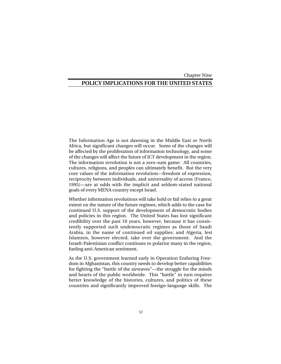Chapter Nine

# **POLICY IMPLICATIONS FOR THE UNITED STATES**

The Information Age is not dawning in the Middle East or North Africa, but significant changes will occur. Some of the changes will be affected by the proliferation of information technology, and some of the changes will affect the future of ICT development in the region. The information revolution is not a zero-sum game: All countries, cultures, religions, and peoples can ultimately benefit. But the very core values of the information revolution—freedom of expression, reciprocity between individuals, and universality of access (Franco, 1995)—are at odds with the implicit and seldom-stated national goals of every MENA country except Israel.

Whether information revolutions will take hold or fail relies to a great extent on the nature of the future regimes, which adds to the case for continued U.S. support of the development of democratic bodies and policies in this region. The United States has lost significant credibility over the past 10 years, however, because it has consistently supported such undemocratic regimes as those of Saudi Arabia, in the name of continued oil supplies; and Algeria, lest Islamists, however elected, take over the government. And the Israeli-Palestinian conflict continues to polarize many in the region, fueling anti-American sentiment.

As the U.S. government learned early in Operation Enduring Freedom in Afghanistan, this country needs to develop better capabilities for fighting the "battle of the airwaves"—the struggle for the minds and hearts of the public worldwide. This "battle" in turn requires better knowledge of the histories, cultures, and politics of these countries and significantly improved foreign-language skills. The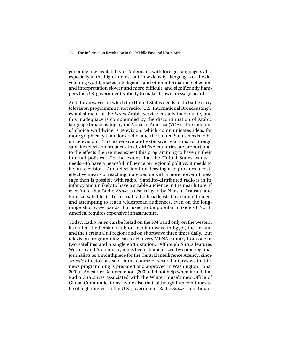generally low availability of Americans with foreign-language skills, especially in the high-interest but "low density" languages of the developing world, makes intelligence and other information collection and interpretation slower and more difficult, and significantly hampers the U.S. government's ability to make its own message heard.

And the airwaves on which the United States needs to do battle carry television programming, not radio. U.S. International Broadcasting's establishment of the *Sawa* Arabic service is sadly inadequate, and this inadequacy is compounded by the discontinuation of Arabic language broadcasting by the Voice of America (VOA). The medium of choice worldwide is television, which communicates ideas far more graphically than does radio, and the United States needs to be on television. The expensive and extensive reactions to foreign satellite television broadcasting by MENA countries are proportional to the effects the regimes expect this programming to have on their internal politics. To the extent that the United States wants needs—to have a peaceful influence on regional politics, it needs to be on television. And television broadcasting also provides a costeffective means of reaching more people with a more powerful message than is possible with radio. Satellite-distributed radio is in its infancy and unlikely to have a sizable audience in the near future, if ever (note that Radio *Sawa* is also relayed by Nilesat, Arabsat, and Eutelsat satellites). Terrestrial radio broadcasts have limited range, and attempting to reach widespread audiences, even on the longrange shortwave bands that used to be popular outside of North America, requires expensive infrastructure.

Today, Radio *Sawa* can be heard on the FM band only on the western littoral of the Persian Gulf; on medium wave in Egypt, the Levant, and the Persian Gulf region; and on shortwave three times daily. But television programming can reach every MENA country from one or two satellites and a single earth station. Although *Sawa* features Western and Arab music, it has been characterized by some regional journalists as a mouthpiece for the Central Intelligence Agency, since *Sawa's* director has said in the course of several interviews that its news programming is prepared and approved in Washington (Joha, 2002). An earlier Reuters report (2002) did not help when it said that Radio *Sawa* was associated with the White House's new Office of Global Communications. Note also that, although Iran continues to be of high interest to the U.S. government, Radio *Sawa* is not broad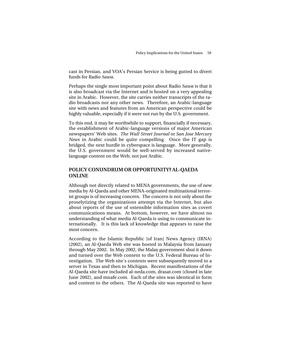cast in Persian, and VOA's Persian Service is being gutted to divert funds for Radio *Sawa*.

Perhaps the single most important point about Radio *Sawa* is that it is also broadcast via the Internet and is hosted on a very appealing site in Arabic. However, the site carries neither transcripts of the radio broadcasts nor any other news. Therefore, an Arabic-language site with news and features from an American perspective could be highly valuable, especially if it were not run by the U.S. government.

To this end, it may be worthwhile to support, financially if necessary, the establishment of Arabic-language versions of major American newspapers' Web sites. *The Wall Street Journal* or *San Jose Mercury News* in Arabic could be quite compelling. Once the IT gap is bridged, the next hurdle in cyberspace is language. More generally, the U.S. government would be well-served by increased nativelanguage content on the Web, not just Arabic.

# **POLICY CONUNDRUM OR OPPORTUNITY? AL-QAEDA ONLINE**

Although not directly related to MENA governments, the use of new media by Al-Qaeda and other MENA-originated multinational terrorist groups is of increasing concern. The concern is not only about the proselytizing the organizations attempt via the Internet, but also about reports of the use of ostensible information sites as covert communications means. At bottom, however, we have almost no understanding of what media Al-Qaeda is using to communicate internationally. It is this lack of knowledge that appears to raise the most concern.

According to the Islamic Republic [of Iran] News Agency (IRNA) (2002), an Al-Qaeda Web site was hosted in Malaysia from January through May 2002. In May 2002, the Malay government shut it down and turned over the Web content to the U.S. Federal Bureau of Investigation. The Web site's contents were subsequently moved to a server in Texas and then to Michigan. Recent manifestations of the Al-Qaeda site have included al-neda.com, drasat.com (closed in late June 2002), and mnafe.com. Each of the sites was identical in form and content to the others. The Al-Qaeda site was reported to have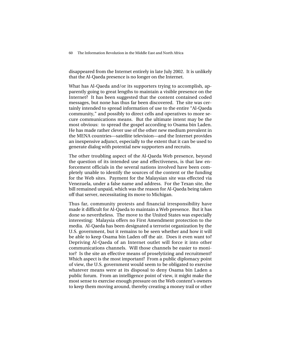disappeared from the Internet entirely in late July 2002. It is unlikely that the Al-Qaeda presence is no longer on the Internet.

What has Al-Qaeda and/or its supporters trying to accomplish, apparently going to great lengths to maintain a visible presence on the Internet? It has been suggested that the content contained coded messages, but none has thus far been discovered. The site was certainly intended to spread information of use to the entire "Al-Qaeda community," and possibly to direct cells and operatives to more secure communications means. But the ultimate intent may be the most obvious: to spread the gospel according to Osama bin Laden. He has made rather clever use of the other new medium prevalent in the MENA countries—satellite television—and the Internet provides an inexpensive adjunct, especially to the extent that it can be used to generate dialog with potential new supporters and recruits.

The other troubling aspect of the Al-Qaeda Web presence, beyond the question of its intended use and effectiveness, is that law enforcement officials in the several nations involved have been completely unable to identify the sources of the content or the funding for the Web sites. Payment for the Malaysian site was effected via Venezuela, under a false name and address. For the Texan site, the bill remained unpaid, which was the reason for Al-Qaeda being taken off that server, necessitating its move to Michigan.

Thus far, community protests and financial irresponsibility have made it difficult for Al-Qaeda to maintain a Web presence. But it has done so nevertheless. The move to the United States was especially interesting: Malaysia offers no First Amendment protection to the media. Al-Qaeda has been designated a terrorist organization by the U.S. government, but it remains to be seen whether and how it will be able to keep Osama bin Laden off the air. Does it even want to? Depriving Al-Qaeda of an Internet outlet will force it into other communications channels. Will those channels be easier to monitor? Is the site an effective means of proselytizing and recruitment? Which aspect is the most important? From a public diplomacy point of view, the U.S. government would seem to be obligated to exercise whatever means were at its disposal to deny Osama bin Laden a public forum. From an intelligence point of view, it might make the most sense to exercise enough pressure on the Web content's owners to keep them moving around, thereby creating a money trail or other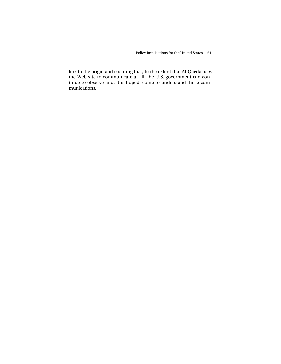Policy Implications for the United States 61

link to the origin and ensuring that, to the extent that Al-Qaeda uses the Web site to communicate at all, the U.S. government can continue to observe and, it is hoped, come to understand those communications.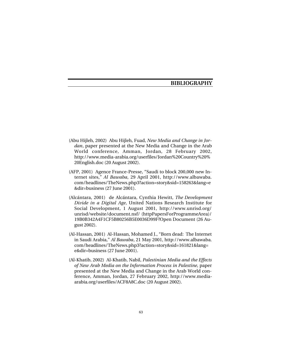## **BIBLIOGRAPHY**

- (Abu Hijleh, 2002) Abu Hijleh, Fuad, *New Media and Change in Jordan*, paper presented at the New Media and Change in the Arab World conference, Amman, Jordan, 28 February 2002, http://www.media-arabia.org/userfiles/Jordan%20Country%20% 20English.doc (20 August 2002).
- (AFP, 2001) Agence France-Presse, "Saudi to block 200,000 new Internet sites," *Al Bawaba*, 29 April 2001, http://www.albawaba. com/headlines/TheNews.php3?action=story&sid=158263&lang=e &dir=business (27 June 2001).
- (Alcántara, 2001) de Alcántara, Cynthia Hewitt, *The Development Divide in a Digital Age*, United Nations Research Institute for Social Development, 1 August 2001, http://www.unrisd.org/ unrisd/website/document.nsf/ (httpPapersForProgrammeArea)/ 19B0B342A4F1CF5B80256B5E0036D99F?Open Document (26 August 2002).
- (Al-Hassan, 2001) Al-Hassan, Mohamed J., "Born dead: The Internet in Saudi Arabia," *Al Bawaba*, 21 May 2001, http://www.albawaba. com/headlines/TheNews.php3?action=story&sid=161821&lang= e&dir=business (27 June 2001).
- (Al-Khatib, 2002) Al-Khatib, Nabil, *Palestinian Media and the Effects of New Arab Media on the Information Process in Palestine*, paper presented at the New Media and Change in the Arab World conference, Amman, Jordan, 27 February 2002, http://www.mediaarabia.org/userfiles/ACF8A8C.doc (20 August 2002).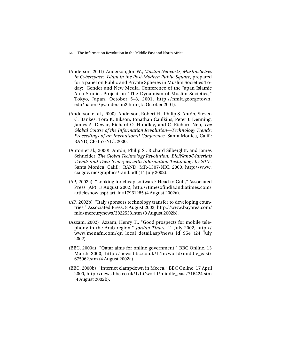- (Anderson, 2001) Anderson, Jon W., *Muslim Networks, Muslim Selves in Cyberspace: Islam in the Post-Modern Public Square*, prepared for a panel on Public and Private Spheres in Muslim Societies Today: Gender and New Media, Conference of the Japan Islamic Area Studies Project on "The Dynamism of Muslim Societies," Tokyo, Japan, October 5–8, 2001, http://nmit.georgetown. edu/papers/jwanderson2.htm (15 October 2001).
- (Anderson et al., 2000) Anderson, Robert H., Philip S. Antón, Steven C. Bankes, Tora K. Bikson, Jonathan Caulkins, Peter J. Denning, James A. Dewar, Richard O. Hundley, and C. Richard Neu, *The Global Course of the Information Revolution—Technology Trends*: *Proceedings of an Inernational Conference,* Santa Monica, Calif.: RAND, CF-157-NIC, 2000.
- (Antón et al., 2000) Antón, Philip S., Richard Silberglitt, and James Schneider, *The Global Technology Revolution: Bio/Nano/Materials Trends and Their Synergies with Information Technology by 2015*, Santa Monica, Calif.: RAND, MR-1307-NIC, 2000, http://www. cia.gov/nic/graphics/rand.pdf (14 July 2002).
- (AP, 2002a) "Looking for cheap software? Head to Gulf," Associated Press (AP), 3 August 2002, http://timesofindia.indiatimes.com/ articleshow.asp? art\_id=17961285 (4 August 2002a).
- (AP, 2002b) "Italy sponsors technology transfer to developing countries," Associated Press, 8 August 2002, http://www.bayarea.com/ mld/mercurynews/3822533.htm (8 August 2002b).
- (Azzam, 2002) Azzam, Henry T., "Good prospects for mobile telephony in the Arab region," *Jordan Times*, 21 July 2002, http:// www.menafn.com/qn\_local\_detail.asp?news\_id=954 (24 July 2002).
- (BBC, 2000a) "Qatar aims for online government," BBC Online, 13 March 2000, http://news.bbc.co.uk/1/hi/world/middle\_east/ 675962.stm (4 August 2002a).
- (BBC, 2000b) "Internet clampdown in Mecca," BBC Online, 17 April 2000, http://news.bbc.co.uk/1/hi/world/middle\_east/716424.stm (4 August 2002b).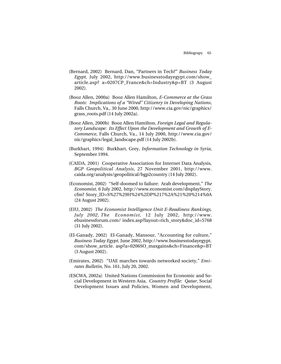- (Bernard, 2002) Bernard, Dan, "Partners in Tech?" *Business Today Egypt*, July 2002, http://www.businesstodayegypt.com/show\_ article.asp? a=0207CP\_France&ch=Industry&p=BT (3 August 2002).
- (Booz Allen, 2000a) Booz Allen Hamilton, *E-Commerce at the Grass Roots: Implications of a "Wired" Citizenry in Developing Nations*, Falls Church, Va., 30 June 2000, http://www.cia.gov/nic/graphics/ grass\_roots.pdf (14 July 2002a).
- (Booz Allen, 2000b) Booz Allen Hamilton, *Foreign Legal and Regulatory Landscape: Its Effect Upon the Development and Growth of E-Commerce*, Falls Church, Va., 14 July 2000, http://www.cia.gov/ nic/graphics/legal\_landscape.pdf (14 July 2002b).
- (Burkhart, 1994) Burkhart, Grey, *Information Technology in Syria*, September 1994.
- (CAIDA, 2001) Cooperative Association for Internet Data Analysis, *BGP Geopolitical Analysis*, 27 November 2001, http://www. caida.org/analysis/geopolitical/bgp2country (14 July 2002).
- (Economist, 2002) "Self-doomed to failure: Arab development," *The Economist*, 6 July 2002, http://www.economist.com/displayStory. cfm? Story\_ID=S%27%29H%24%2DP%217%2A%21%20%214%0A (24 August 2002).
- (EIU, 2002) *The Economist Intelligence Unit E-Readiness Rankings, July 2002*, *The Economist,* 12 July 2002, http://www. ebusinessforum.com/ index.asp?layout=rich\_story&doc\_id=5768 (31 July 2002).
- (El-Ganady, 2002) El-Ganady, Mansour, "Accounting for culture," *Business Today Egypt,* June 2002, http://www.businesstodayegypt. com/show\_article. asp?a=0206SO\_maxgains&ch=Finance&p=BT (3 August 2002).
- (Emirates, 2002) "UAE marches towards networked society," *Emirates Bulletin*, No. 161, July 20, 2002.
- (ESCWA, 2002a) United Nations Commission for Economic and Social Development in Western Asia, *Country Profile: Qatar*, Social Development Issues and Policies, Women and Development,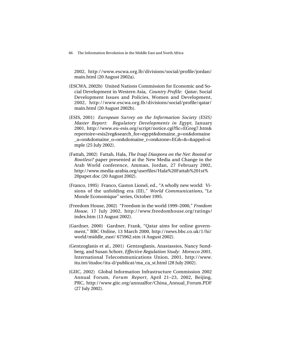2002, http://www.escwa.org.lb/divisions/social/profile/jordan/ main.html (20 August 2002a).

- (ESCWA, 2002b) United Nations Commission for Economic and Social Development in Western Asia, *Country Profile: Qatar*, Social Development Issues and Policies, Women and Development, 2002, http://www.escwa.org.lb/divisions/social/profile/qatar/ main.html (20 August 2002b).
- (ESIS, 2001) *European Survey on the Information Society (ESIS) Master Report: Regulatory Developments in Egypt*, January 2001, http://www.eu-esis.org/script/notice.cgi?fic=EGreg7.htm& repertoire=esis2reg&search\_for=egypt&domaine\_p=on&domaine \_a=on&domaine\_o=on&domaine\_r=on&zone=EG&=&=&appel=si mple (25 July 2002).
- (Fattah, 2002) Fattah, Hala, *The Iraqi Diaspora on the Net: Rooted or Rootless?* paper presented at the New Media and Change in the Arab World conference, Amman, Jordan, 27 February 2002, http://www.media-arabia.org/userfiles/Hala%20Fattah%201st% 20paper.doc (20 August 2002).
- (Franco, 1995) Franco, Gaston Lionel, ed., "A wholly new world: Visions of the unfolding era (III)," *World Communications*, "Le Monde Economique" series, October 1995.
- (Freedom House, 2002) "Freedom in the world 1999–2000," *Freedom House*, 17 July 2002, http://www.freedomhouse.org/ratings/ index.htm (13 August 2002).
- (Gardner, 2000) Gardner, Frank, "Qatar aims for online government," BBC Online, 13 March 2000, http://news.bbc.co.uk/1/hi/ world/middle\_east/ 675962.stm (4 August 2002).
- (Gentzoglanis et al., 2001) Gentzoglanis, Anastassios, Nancy Sundberg, and Susan Schorr, *Effective Regulation Study: Morocco 2001,* International Telecommunications Union, 2001, http://www. itu.int/itudoc/itu-d/publicat/ma\_ca\_st.html (28 July 2002).
- (GIIC, 2002) Global Information Infrastructure Commission 2002 Annual Forum, *Forum Report*, April 21–23, 2002, Beijing, PRC, http://www.giic.org/annualfor/China\_Annual\_Forum.PDF (27 July 2002).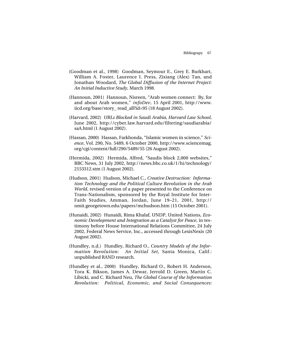- (Goodman et al., 1998) Goodman, Seymour E., Grey E. Burkhart, William A. Foster, Laurence I. Press, Zixiang (Alex) Tan, and Jonathan Woodard, *The Global Diffusion of the Internet Project: An Initial Inductive Study*, March 1998.
- (Hannoun, 2001) Hannoun, Nisreen, "Arab women connect: By, for and about Arab women," *infoDev*, 15 April 2001, http://www. iicd.org/base/story\_ read\_all?id=95 (18 August 2002).
- (Harvard, 2002) *URLs Blocked in Saudi Arabia*, *Harvard Law School,* June 2002, http://cyber.law.harvard.edu/filtering/saudiarabia/ saA.html (1 August 2002).
- (Hassan, 2000) Hassan, Farkhonda, "Islamic women in science," *Science*, Vol. 290, No. 5489, 6 October 2000, http://www.sciencemag. org/cgi/content/full/290/5489/55 (26 August 2002).
- (Hermida, 2002) Hermida, Alfred, "Saudis block 2,000 websites," BBC News, 31 July 2002, http://news.bbc.co.uk/1/hi/technology/ 2153312.stm (1 August 2002).
- (Hudson, 2001) Hudson, Michael C., *Creative Destruction: Information Technology and the Political Culture Revolution in the Arab World*, revised version of a paper presented to the Conference on Trans-Nationalism, sponsored by the Royal Institute for Inter-Faith Studies, Amman, Jordan, June 19–21, 2001, http:// nmit.georgetown.edu/papers/mchudson.htm (15 October 2001).
- (Hunaidi, 2002) Hunaidi, Rima Khalaf, UNDP, United Nations, *Economic Development and Integration as a Catalyst for Peace*, in testimony before House International Relations Committee, 24 July 2002, Federal News Service, Inc., accessed through LexisNexis (20 August 2002).
- (Hundley, n.d.) Hundley, Richard O., *Country Models of the Information Revolution: An Initial Set*, Santa Monica, Calif.: unpublished RAND research.
- (Hundley et al., 2000) Hundley, Richard O., Robert H. Anderson, Tora K. Bikson, James A. Dewar, Jerrold D. Green, Martin C. Libicki, and C. Richard Neu, *The Global Course of the Information Revolution: Political, Economic, and Social Consequences:*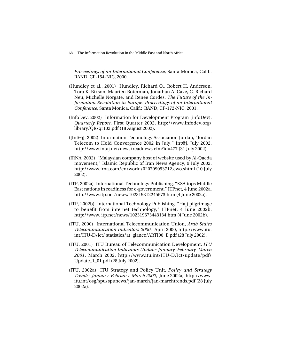68 The Information Revolution in the Middle East and North Africa

*Proceedings of an International Conference,* Santa Monica, Calif.: RAND, CF-154-NIC, 2000.

- (Hundley et al., 2001) Hundley, Richard O., Robert H. Anderson, Tora K. Bikson, Maarten Boterman, Jonathan A. Cave, C. Richard Neu, Michelle Norgate, and Renée Cordes, *The Future of the Information Revolution in Europe: Proceedings of an International Conference*, Santa Monica, Calif.: RAND, CF-172-NIC, 2001.
- (InfoDev, 2002) Information for Development Program (infoDev), *Quarterly Report*, First Quarter 2002, http://www.infodev.org/ library/QR/qr102.pdf (18 August 2002).
- ([Int@j], 2002) Information Technology Association Jordan, "Jordan Telecom to Hold Convergence 2002 in July," Int@j, July 2002, http://www.intaj.net/news/readnews.cfm?id=477 (31 July 2002).
- (IRNA, 2002) "Malaysian company host of website used by Al-Qaeda movement," Islamic Republic of Iran News Agency, 9 July 2002, http://www.irna.com/en/world/020709093712.ewo.shtml (10 July 2002).
- (ITP, 2002a) International Technology Publishing, "KSA tops Middle East nations in readiness for e-government," ITPnet, 4 June 2002a, http://www.itp.net/news/102319312245573.htm (4 June 2002a).
- (ITP, 2002b) International Technology Publishing, "Hajj pilgrimage to benefit from internet technology," ITPnet, 4 June 2002b, http://www. itp.net/news/102319673443134.htm (4 June 2002b).
- (ITU, 2000) International Telecommunication Union, *Arab States Telecommunication Indicators 2000*, April 2000, http://www.itu. int/ITU-D/ict/ statistics/at\_glance/ARTI00\_E.pdf (28 July 2002).
- (ITU, 2001) ITU Bureau of Telecommunication Development, *ITU Telecommunication Indicators Update: January–February–March 2001*, March 2002, http://www.itu.int/ITU-D/ict/update/pdf/ Update\_1\_01.pdf (28 July 2002).
- (ITU, 2002a) ITU Strategy and Policy Unit, *Policy and Strategy Trends: January–February–March 2002*, June 2002a, http://www. itu.int/osg/spu/spunews/jan-march/jan-marchtrends.pdf (28 July 2002a).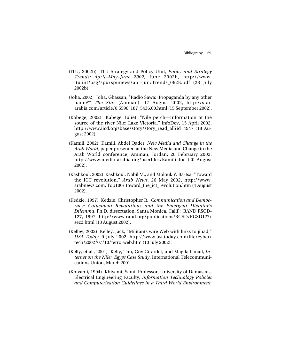- (ITU, 2002b) ITU Strategy and Policy Unit, *Policy and Strategy Trends: April–May–June 2002*, June 2002b, http://www. itu.int/osg/spu/spunews/apr-jun/Trends\_062E.pdf (28 July 2002b).
- (Joha, 2002) Joha, Ghassan, "Radio Sawa: Propaganda by any other name?" *The Star* (Amman), 17 August 2002, http://star. arabia.com/article/0,5596, 187\_5436,00.html (15 September 2002).
- (Kabege, 2002) Kabege, Juliet, "Nile perch—Information at the source of the river Nile; Lake Victoria," infoDev, 15 April 2002, http://www.iicd.org/base/story/story\_read\_all?id=4947 (18 August 2002).
- (Kamili, 2002) Kamili, Abdel Qader, *New Media and Change in the Arab World*, paper presented at the New Media and Change in the Arab World conference, Amman, Jordan, 28 February 2002, http://www.media-arabia.org/userfiles/Kamili.doc (20 August 2002).
- (Kashkoul, 2002) Kashkoul, Nabil M., and Molouk Y. Ba-Isa, "Toward the ICT revolution," *Arab News*, 26 May 2002, http://www. arabnews.com/Top100/ toward\_the\_ict\_revolution.htm (4 August 2002).
- (Kedzie, 1997) Kedzie, Christopher R., *Communication and Democracy: Coincident Revolutions and the Emergent Dictator's Dilemma*, Ph.D. dissertation, Santa Monica, Calif.: RAND RSGD-127, 1997, http://www.rand.org/publications/RGSD/RGSD127/ sec2.html (18 August 2002).
- (Kelley, 2002) Kelley, Jack, "Militants wire Web with links to jihad," *USA Today*, 9 July 2002, http://www.usatoday.com/life/cyber/ tech/2002/07/10/terrorweb.htm (10 July 2002).
- (Kelly, et al., 2001) Kelly, Tim, Guy Girardet, and Magda Ismail, *Internet on the Nile: Egypt Case Study*, International Telecommunications Union, March 2001.
- (Khiyami, 1994) Khiyami, Sami, Professor, University of Damascus, Electrical Engineering Faculty, *Information Technology Policies and Computerization Guidelines in a Third World Environment,*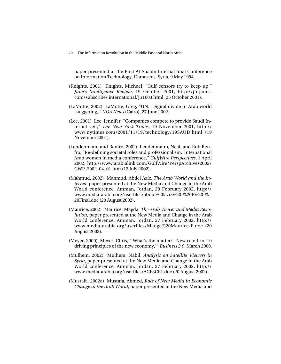paper presented at the First Al-Shaam International Conference on Information Technology, Damascus, Syria, 9 May 1994.

- (Knights, 2001) Knights, Michael, "Gulf censors try to keep up," *Jane's Intelligence Review*, 19 October 2001, http://jir.janes. com/subscribe/ international/jir1603.html (25 October 2001).
- (LaMotte, 2002) LaMotte, Greg, "UN: Digital divide in Arab world 'staggering,'" *VOA News* (Cairo), 27 June 2002.
- (Lee, 2001) Lee, Jennifer, "Companies compete to provide Saudi Internet veil," *The New York Times*, 19 November 2001, http:// www.nytimes.com/2001/11/19/technology/19SAUD.html (19 November 2001).
- (Lendenmann and Renfro, 2002) Lendenmann, Neal, and Rob Renfro, "Re-defining societal roles and professionalism: International Arab women in media conference," *GulfWire Perspectives*, 1 April 2002, http://www.arabialink.com/GulfWire/PerspArchives2002/ GWP\_2002\_04\_01.htm (12 July 2002).
- (Mahmud, 2002) Mahmud, Abdel Aziz, *The Arab World and the Internet*, paper presented at the New Media and Change in the Arab World conference, Amman, Jordan, 28 February 2002, http:// www.media-arabia.org/userfiles/abdul%20aziz%20-%20E%20-% 20Final.doc (20 August 2002).
- (Maurice, 2002) Maurice, Magda, *The Arab Viewer and Media Revolution*, paper presented at the New Media and Change in the Arab World conference, Amman, Jordan, 27 February 2002, http:// www.media-arabia.org/userfiles/Madga%20Maurice-E.doc (20 August 2002).
- (Meyer, 2000) Meyer, Chris, "'What's the matter?' New rule 1 in '10 driving principles of the new economy,'" *Business 2.0*, March 2000.
- (Mulhem, 2002) Mulhem, Nabil, *Analysis on Satellite Viewers in Syria*, paper presented at the New Media and Change in the Arab World conference, Amman, Jordan, 27 February 2002, http:// www.media-arabia.org/userfiles/ACF8CF1.doc (20 August 2002).
- (Mustafa, 2002a) Mustafa, Ahmed, *Role of New Media in Economic Change in the Arab World*, paper presented at the New Media and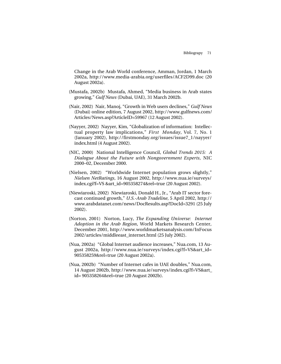Change in the Arab World conference, Amman, Jordan, 1 March 2002a, http://www.media-arabia.org/userfiles/ACF2D99.doc (20 August 2002a).

- (Mustafa, 2002b) Mustafa, Ahmed, "Media business in Arab states growing," *Gulf News* (Dubai, UAE), 31 March 2002b.
- (Nair, 2002) Nair, Manoj, "Growth in Web users declines," *Gulf News* (Dubai) online edition, 7 August 2002, http://www.gulfnews.com/ Articles/News.asp?ArticleID=59967 (12 August 2002).
- (Nayyer, 2002) Nayyer, Kim, "Globalization of information: Intellectual property law implications," *First Monday*, Vol. 7, No. 1 (January 2002), http://firstmonday.org/issues/issue7\_1/nayyer/ index.html (4 August 2002).
- (NIC, 2000) National Intelligence Council, *Global Trends 2015: A Dialogue About the Future with Nongovernment Experts*, NIC 2000–02, December 2000.
- (Nielsen, 2002) "Worldwide Internet population grows slightly," *Nielsen NetRatings*, 16 August 2002, http://www.nua.ie/surveys/ index.cgi?f=VS &art\_id=905358274&rel=true (20 August 2002).
- (Niewiaroski, 2002) Niewiaroski, Donald H., Jr., "Arab IT sector forecast continued growth," *U.S.-Arab Tradeline*, 5 April 2002, http:// www.arabdatanet.com/news/DocResults.asp?DocId=3291 (25 July 2002).
- (Norton, 2001) Norton, Lucy, *The Expanding Universe: Internet Adoption in the Arab Region*, World Markets Research Center, December 2001, http://www.worldmarketsanalysis.com/InFocus 2002/articles/middleeast\_internet.html (25 July 2002).
- (Nua, 2002a) "Global Internet audience increases," Nua.com, 13 August 2002a, http://www.nua.ie/surveys/index.cgi?f=VS&art\_id= 905358259&rel=true (20 August 2002a).
- (Nua, 2002b) "Number of Internet cafes in UAE doubles," Nua.com, 14 August 2002b, http://www.nua.ie/surveys/index.cgi?f=VS&art\_ id= 905358264&rel=true (20 August 2002b).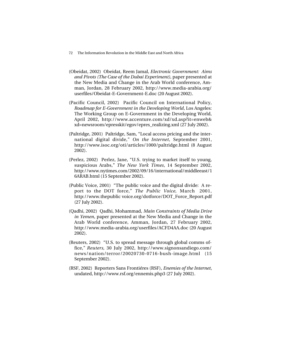- (Obeidat, 2002) Obeidat, Reem Jamal, *Electronic Government: Aims and Pivots (The Case of the Dubai Experiment)*, paper presented at the New Media and Change in the Arab World conference, Amman, Jordan, 28 February 2002, http://www.media-arabia.org/ userfiles/Obeidat-E-Government-E.doc (20 August 2002).
- (Pacific Council, 2002) Pacific Council on International Policy, *Roadmap for E-Government in the Developing World*, Los Angeles: The Working Group on E-Government in the Developing World, April 2002, http://www.accenture.com/xd/xd.asp?it=enweb& xd=newsroom/epresskit/egov/epres\_realizing.xml (27 July 2002).
- (Paltridge, 2001) Paltridge, Sam, "Local access pricing and the international digital divide," *On the Internet*, September 2001, http://www.isoc.org/oti/articles/1000/paltridge.html (8 August 2002).
- (Perlez, 2002) Perlez, Jane, "U.S. trying to market itself to young, suspicious Arabs," *The New York Times*, 14 September 2002, http://www.nytimes.com/2002/09/16/international/middleeast/1 6ARAB.html (15 September 2002).
- (Public Voice, 2001) "The public voice and the digital divide: A report to the DOT force," *The Public Voice,* March 2001, http://www.thepublic voice.org/dotforce/DOT\_Force\_Report.pdf (27 July 2002).
- (Qadhi, 2002) Qadhi, Mohammad, *Main Constraints of Media Drive in Yemen*, paper presented at the New Media and Change in the Arab World conference, Amman, Jordan, 27 February 2002, http://www.media-arabia.org/userfiles/ACFD4AA.doc (20 August 2002).
- (Reuters, 2002) "U.S. to spread message through global comms office," *Reuters*, 30 July 2002, http://www.signonsandiego.com/ news/nation/terror/20020730-0716-bush-image.html (15 September 2002).
- (RSF, 2002) Reporters Sans Frontiéres (RSF), *Enemies of the Internet*, undated, http://www.rsf.org/ennemis.php3 (27 July 2002).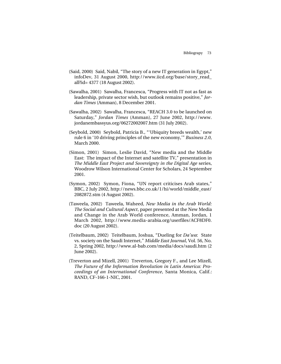- (Said, 2000) Said, Nabil, "The story of a new IT generation in Egypt," infoDev, 31 August 2000, http://www.iicd.org/base/story\_read\_ all?id= 4377 (18 August 2002).
- (Sawalha, 2001) Sawalha, Francesca, "Progress with IT not as fast as leadership, private sector wish, but outlook remains positive," *Jordan Times* (Amman), 8 December 2001.
- (Sawalha, 2002) Sawalha, Francesca, "REACH 3.0 to be launched on Saturday," *Jordan Times* (Amman), 27 June 2002, http://www. jordanembassyus.org/06272002007.htm (31 July 2002).
- (Seybold, 2000) Seybold, Patricia B., "'Ubiquity breeds wealth,' new rule 6 in '10 driving principles of the new economy,'" *Business 2.0*, March 2000.
- (Simon, 2001) Simon, Leslie David, "New media and the Middle East: The impact of the Internet and satellite TV," presentation in *The Middle East Project and Sovereignty in the Digital Age* series, Woodrow Wilson International Center for Scholars, 24 September 2001.
- (Symon, 2002) Symon, Fiona, "UN report criticises Arab states," BBC, 2 July 2002, http://news.bbc.co.uk/1/hi/world/middle\_east/ 2082872.stm (4 August 2002).
- (Taweela, 2002) Taweela, Waheed, *New Media in the Arab World: The Social and Cultural Aspect*, paper presented at the New Media and Change in the Arab World conference, Amman, Jordan, 1 March 2002, http://www.media-arabia.org/userfiles/ACF8DF0. doc (20 August 2002).
- (Teitelbaum, 2002) Teitelbaum, Joshua, "Dueling for *Da'wa*: State vs. society on the Saudi Internet," *Middle East Journal*, Vol. 56, No. 2, Spring 2002, http://www.al-bab.com/media/docs/saudi.htm (2 June 2002).
- (Treverton and Mizell, 2001) Treverton, Gregory F., and Lee Mizell, *The Future of the Information Revolution in Latin America: Proceedings of an International Conference*, Santa Monica, Calif.: RAND, CF-166-1-NIC, 2001.